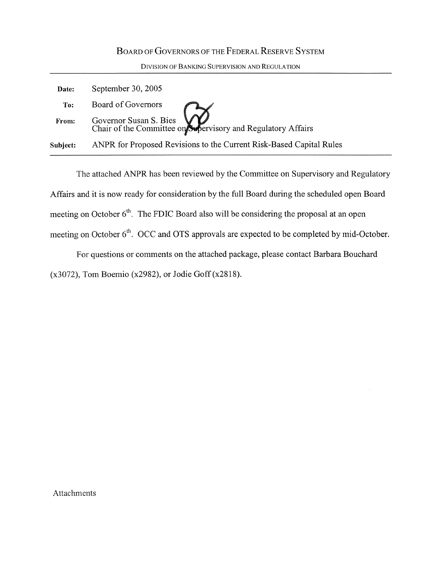## BOARD OF GOVERNORS OF THE FEDERAL RESERVE SYSTEM

DivisIoN OF BANKING SUPERVISION AND REGULATION

| Date:    | September 30, 2005                                                                     |
|----------|----------------------------------------------------------------------------------------|
| To:      | Board of Governors                                                                     |
| From:    | Governor Susan S. Bies<br>Chair of the Committee on Supervisory and Regulatory Affairs |
| Subject: | ANPR for Proposed Revisions to the Current Risk-Based Capital Rules                    |

The attached ANPR has been reviewed by the Committee on Supervisory and Regulatory Affairs and it is now ready for consideration by the full Board during the scheduled open Board meeting on October  $6<sup>th</sup>$ . The FDIC Board also will be considering the proposal at an open meeting on October 6<sup>th</sup>, OCC and OTS approvals are expected to be completed by mid-October.

For questions or comments on the attached package, please contact Barbara Bouchard (x3072), Tom Boemio (x2982), or Jodie Goff(x2818) .

Attachments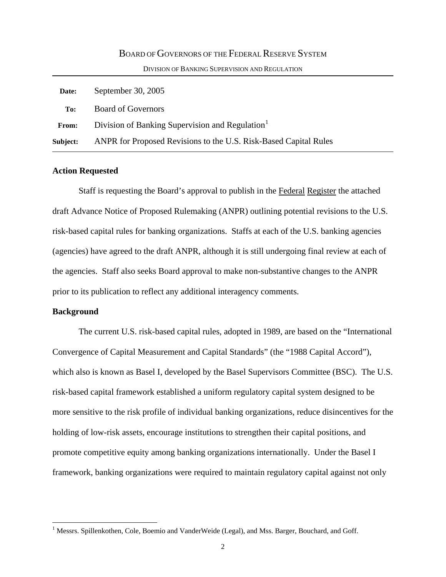# BOARD OF GOVERNORS OF THE FEDERAL RESERVE SYSTEM DIVISION OF BANKING SUPERVISION AND REGULATION  **Date:** September 30, 2005  **To:** Board of Governors

| <b>From:</b> | Division of Banking Supervision and Regulation <sup>1</sup>      |
|--------------|------------------------------------------------------------------|
| Subject:     | ANPR for Proposed Revisions to the U.S. Risk-Based Capital Rules |

#### **Action Requested**

Staff is requesting the Board's approval to publish in the Federal Register the attached draft Advance Notice of Proposed Rulemaking (ANPR) outlining potential revisions to the U.S. risk-based capital rules for banking organizations. Staffs at each of the U.S. banking agencies (agencies) have agreed to the draft ANPR, although it is still undergoing final review at each of the agencies. Staff also seeks Board approval to make non-substantive changes to the ANPR prior to its publication to reflect any additional interagency comments.

#### **Background**

 $\overline{a}$ 

 The current U.S. risk-based capital rules, adopted in 1989, are based on the "International Convergence of Capital Measurement and Capital Standards" (the "1988 Capital Accord"), which also is known as Basel I, developed by the Basel Supervisors Committee (BSC). The U.S. risk-based capital framework established a uniform regulatory capital system designed to be more sensitive to the risk profile of individual banking organizations, reduce disincentives for the holding of low-risk assets, encourage institutions to strengthen their capital positions, and promote competitive equity among banking organizations internationally. Under the Basel I framework, banking organizations were required to maintain regulatory capital against not only

<span id="page-1-0"></span><sup>&</sup>lt;sup>1</sup> Messrs. Spillenkothen, Cole, Boemio and VanderWeide (Legal), and Mss. Barger, Bouchard, and Goff.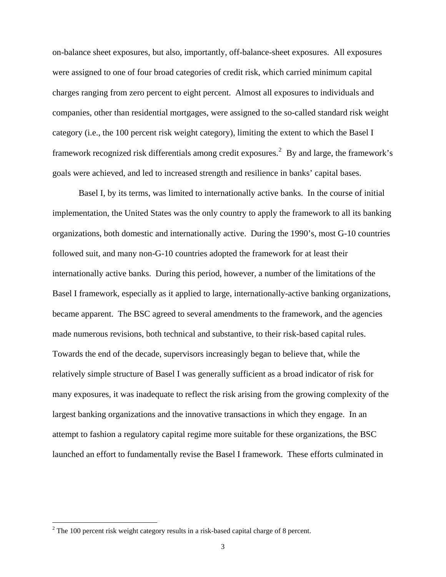on-balance sheet exposures, but also, importantly, off-balance-sheet exposures. All exposures were assigned to one of four broad categories of credit risk, which carried minimum capital charges ranging from zero percent to eight percent. Almost all exposures to individuals and companies, other than residential mortgages, were assigned to the so-called standard risk weight category (i.e., the 100 percent risk weight category), limiting the extent to which the Basel I framework recognized risk differentials among credit exposures.<sup>[2](#page-2-0)</sup> By and large, the framework's goals were achieved, and led to increased strength and resilience in banks' capital bases.

Basel I, by its terms, was limited to internationally active banks. In the course of initial implementation, the United States was the only country to apply the framework to all its banking organizations, both domestic and internationally active. During the 1990's, most G-10 countries followed suit, and many non-G-10 countries adopted the framework for at least their internationally active banks. During this period, however, a number of the limitations of the Basel I framework, especially as it applied to large, internationally-active banking organizations, became apparent. The BSC agreed to several amendments to the framework, and the agencies made numerous revisions, both technical and substantive, to their risk-based capital rules. Towards the end of the decade, supervisors increasingly began to believe that, while the relatively simple structure of Basel I was generally sufficient as a broad indicator of risk for many exposures, it was inadequate to reflect the risk arising from the growing complexity of the largest banking organizations and the innovative transactions in which they engage. In an attempt to fashion a regulatory capital regime more suitable for these organizations, the BSC launched an effort to fundamentally revise the Basel I framework. These efforts culminated in

<span id="page-2-0"></span> $2^2$  The 100 percent risk weight category results in a risk-based capital charge of 8 percent.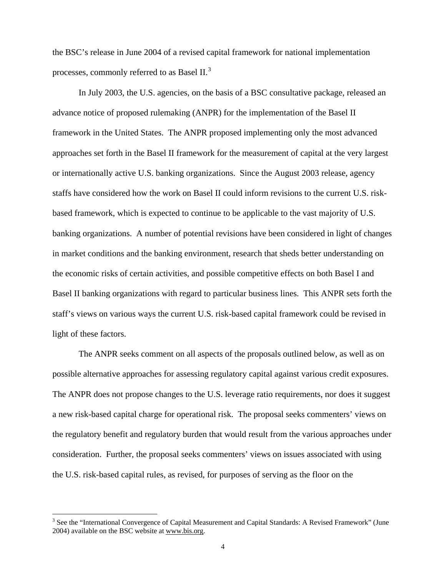the BSC's release in June 2004 of a revised capital framework for national implementation processes, commonly referred to as Basel II. $^3$  $^3$ 

In July 2003, the U.S. agencies, on the basis of a BSC consultative package, released an advance notice of proposed rulemaking (ANPR) for the implementation of the Basel II framework in the United States. The ANPR proposed implementing only the most advanced approaches set forth in the Basel II framework for the measurement of capital at the very largest or internationally active U.S. banking organizations. Since the August 2003 release, agency staffs have considered how the work on Basel II could inform revisions to the current U.S. riskbased framework, which is expected to continue to be applicable to the vast majority of U.S. banking organizations. A number of potential revisions have been considered in light of changes in market conditions and the banking environment, research that sheds better understanding on the economic risks of certain activities, and possible competitive effects on both Basel I and Basel II banking organizations with regard to particular business lines. This ANPR sets forth the staff's views on various ways the current U.S. risk-based capital framework could be revised in light of these factors.

The ANPR seeks comment on all aspects of the proposals outlined below, as well as on possible alternative approaches for assessing regulatory capital against various credit exposures. The ANPR does not propose changes to the U.S. leverage ratio requirements, nor does it suggest a new risk-based capital charge for operational risk. The proposal seeks commenters' views on the regulatory benefit and regulatory burden that would result from the various approaches under consideration. Further, the proposal seeks commenters' views on issues associated with using the U.S. risk-based capital rules, as revised, for purposes of serving as the floor on the

<span id="page-3-0"></span><sup>&</sup>lt;sup>3</sup> See the "International Convergence of Capital Measurement and Capital Standards: A Revised Framework" (June 2004) available on the BSC website at www.bis.org.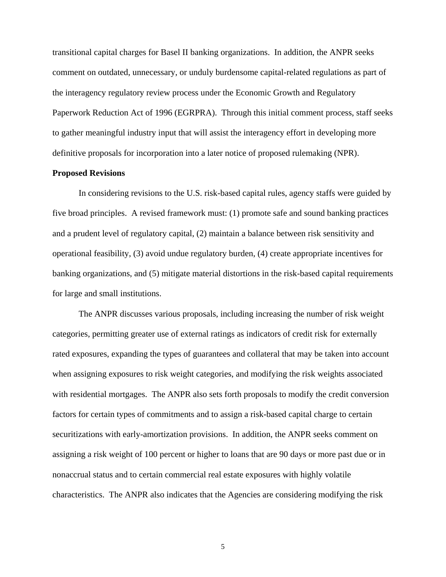transitional capital charges for Basel II banking organizations. In addition, the ANPR seeks comment on outdated, unnecessary, or unduly burdensome capital-related regulations as part of the interagency regulatory review process under the Economic Growth and Regulatory Paperwork Reduction Act of 1996 (EGRPRA). Through this initial comment process, staff seeks to gather meaningful industry input that will assist the interagency effort in developing more definitive proposals for incorporation into a later notice of proposed rulemaking (NPR).

#### **Proposed Revisions**

In considering revisions to the U.S. risk-based capital rules, agency staffs were guided by five broad principles. A revised framework must: (1) promote safe and sound banking practices and a prudent level of regulatory capital, (2) maintain a balance between risk sensitivity and operational feasibility, (3) avoid undue regulatory burden, (4) create appropriate incentives for banking organizations, and (5) mitigate material distortions in the risk-based capital requirements for large and small institutions.

The ANPR discusses various proposals, including increasing the number of risk weight categories, permitting greater use of external ratings as indicators of credit risk for externally rated exposures, expanding the types of guarantees and collateral that may be taken into account when assigning exposures to risk weight categories, and modifying the risk weights associated with residential mortgages. The ANPR also sets forth proposals to modify the credit conversion factors for certain types of commitments and to assign a risk-based capital charge to certain securitizations with early-amortization provisions. In addition, the ANPR seeks comment on assigning a risk weight of 100 percent or higher to loans that are 90 days or more past due or in nonaccrual status and to certain commercial real estate exposures with highly volatile characteristics. The ANPR also indicates that the Agencies are considering modifying the risk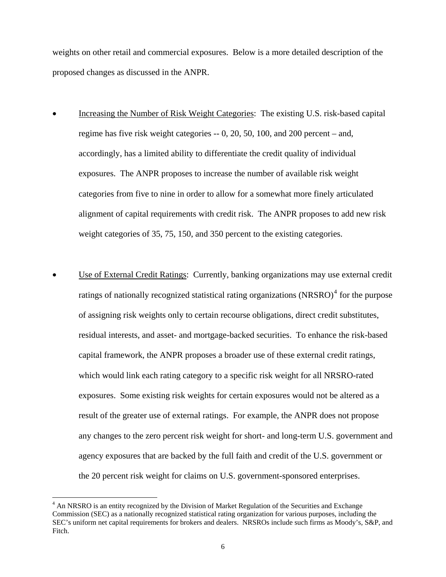weights on other retail and commercial exposures. Below is a more detailed description of the proposed changes as discussed in the ANPR.

- Increasing the Number of Risk Weight Categories: The existing U.S. risk-based capital regime has five risk weight categories -- 0, 20, 50, 100, and 200 percent – and, accordingly, has a limited ability to differentiate the credit quality of individual exposures. The ANPR proposes to increase the number of available risk weight categories from five to nine in order to allow for a somewhat more finely articulated alignment of capital requirements with credit risk. The ANPR proposes to add new risk weight categories of 35, 75, 150, and 350 percent to the existing categories.
- Use of External Credit Ratings: Currently, banking organizations may use external credit ratings of nationally recognized statistical rating organizations  $(NRSRO)^4$  $(NRSRO)^4$  for the purpose of assigning risk weights only to certain recourse obligations, direct credit substitutes, residual interests, and asset- and mortgage-backed securities. To enhance the risk-based capital framework, the ANPR proposes a broader use of these external credit ratings, which would link each rating category to a specific risk weight for all NRSRO-rated exposures. Some existing risk weights for certain exposures would not be altered as a result of the greater use of external ratings. For example, the ANPR does not propose any changes to the zero percent risk weight for short- and long-term U.S. government and agency exposures that are backed by the full faith and credit of the U.S. government or the 20 percent risk weight for claims on U.S. government-sponsored enterprises.

<span id="page-5-0"></span><sup>&</sup>lt;sup>4</sup> An NRSRO is an entity recognized by the Division of Market Regulation of the Securities and Exchange Commission (SEC) as a nationally recognized statistical rating organization for various purposes, including the SEC's uniform net capital requirements for brokers and dealers. NRSROs include such firms as Moody's, S&P, and Fitch.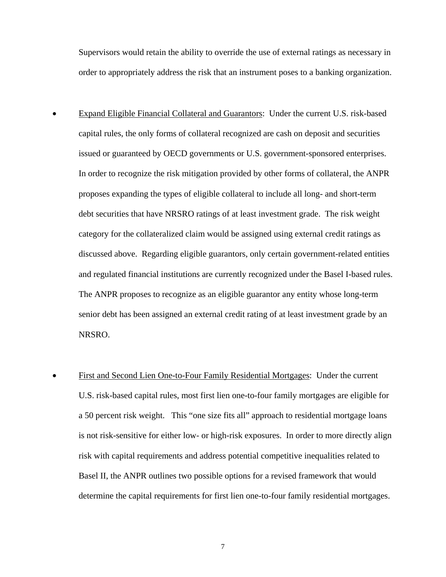Supervisors would retain the ability to override the use of external ratings as necessary in order to appropriately address the risk that an instrument poses to a banking organization.

- Expand Eligible Financial Collateral and Guarantors: Under the current U.S. risk-based capital rules, the only forms of collateral recognized are cash on deposit and securities issued or guaranteed by OECD governments or U.S. government-sponsored enterprises. In order to recognize the risk mitigation provided by other forms of collateral, the ANPR proposes expanding the types of eligible collateral to include all long- and short-term debt securities that have NRSRO ratings of at least investment grade. The risk weight category for the collateralized claim would be assigned using external credit ratings as discussed above. Regarding eligible guarantors, only certain government-related entities and regulated financial institutions are currently recognized under the Basel I-based rules. The ANPR proposes to recognize as an eligible guarantor any entity whose long-term senior debt has been assigned an external credit rating of at least investment grade by an NRSRO.
- First and Second Lien One-to-Four Family Residential Mortgages: Under the current U.S. risk-based capital rules, most first lien one-to-four family mortgages are eligible for a 50 percent risk weight. This "one size fits all" approach to residential mortgage loans is not risk-sensitive for either low- or high-risk exposures. In order to more directly align risk with capital requirements and address potential competitive inequalities related to Basel II, the ANPR outlines two possible options for a revised framework that would determine the capital requirements for first lien one-to-four family residential mortgages.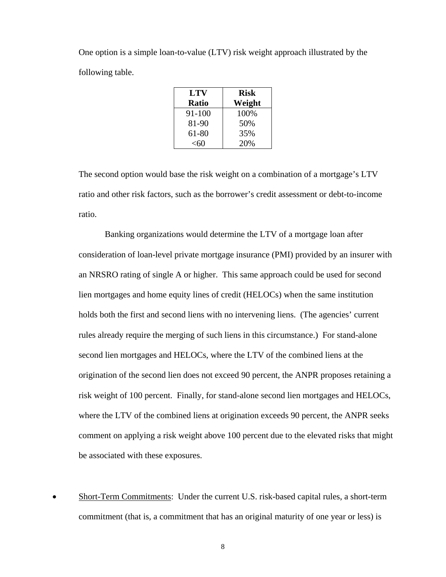One option is a simple loan-to-value (LTV) risk weight approach illustrated by the following table.

| LTV          | <b>Risk</b> |
|--------------|-------------|
| <b>Ratio</b> | Weight      |
| 91-100       | 100%        |
| 81-90        | 50%         |
| 61-80        | 35%         |
| $<$ 60       | 20%         |

 The second option would base the risk weight on a combination of a mortgage's LTV ratio and other risk factors, such as the borrower's credit assessment or debt-to-income ratio.

Banking organizations would determine the LTV of a mortgage loan after consideration of loan-level private mortgage insurance (PMI) provided by an insurer with an NRSRO rating of single A or higher. This same approach could be used for second lien mortgages and home equity lines of credit (HELOCs) when the same institution holds both the first and second liens with no intervening liens. (The agencies' current rules already require the merging of such liens in this circumstance.) For stand-alone second lien mortgages and HELOCs, where the LTV of the combined liens at the origination of the second lien does not exceed 90 percent, the ANPR proposes retaining a risk weight of 100 percent. Finally, for stand-alone second lien mortgages and HELOCs, where the LTV of the combined liens at origination exceeds 90 percent, the ANPR seeks comment on applying a risk weight above 100 percent due to the elevated risks that might be associated with these exposures.

• Short-Term Commitments: Under the current U.S. risk-based capital rules, a short-term commitment (that is, a commitment that has an original maturity of one year or less) is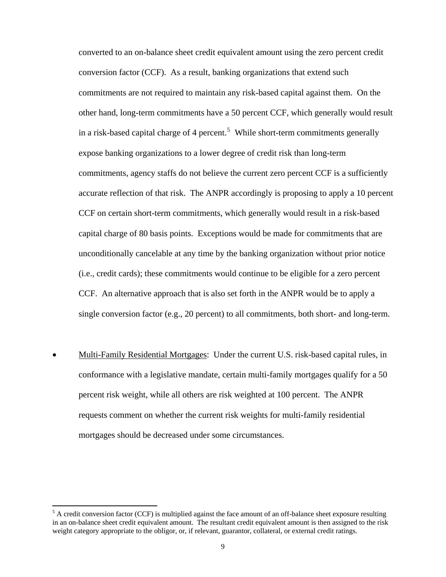converted to an on-balance sheet credit equivalent amount using the zero percent credit conversion factor (CCF). As a result, banking organizations that extend such commitments are not required to maintain any risk-based capital against them. On the other hand, long-term commitments have a 50 percent CCF, which generally would result in a risk-based capital charge of 4 percent.<sup>[5](#page-8-0)</sup> While short-term commitments generally expose banking organizations to a lower degree of credit risk than long-term commitments, agency staffs do not believe the current zero percent CCF is a sufficiently accurate reflection of that risk. The ANPR accordingly is proposing to apply a 10 percent CCF on certain short-term commitments, which generally would result in a risk-based capital charge of 80 basis points. Exceptions would be made for commitments that are unconditionally cancelable at any time by the banking organization without prior notice (i.e., credit cards); these commitments would continue to be eligible for a zero percent CCF. An alternative approach that is also set forth in the ANPR would be to apply a single conversion factor (e.g., 20 percent) to all commitments, both short- and long-term.

• Multi-Family Residential Mortgages: Under the current U.S. risk-based capital rules, in conformance with a legislative mandate, certain multi-family mortgages qualify for a 50 percent risk weight, while all others are risk weighted at 100 percent. The ANPR requests comment on whether the current risk weights for multi-family residential mortgages should be decreased under some circumstances.

<span id="page-8-0"></span> $<sup>5</sup>$  A credit conversion factor (CCF) is multiplied against the face amount of an off-balance sheet exposure resulting</sup> in an on-balance sheet credit equivalent amount. The resultant credit equivalent amount is then assigned to the risk weight category appropriate to the obligor, or, if relevant, guarantor, collateral, or external credit ratings.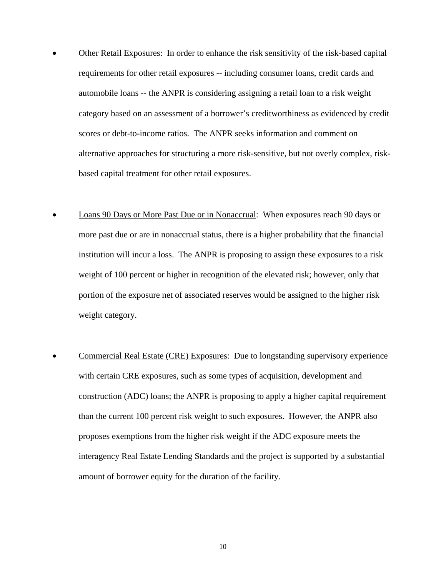- Other Retail Exposures: In order to enhance the risk sensitivity of the risk-based capital requirements for other retail exposures -- including consumer loans, credit cards and automobile loans -- the ANPR is considering assigning a retail loan to a risk weight category based on an assessment of a borrower's creditworthiness as evidenced by credit scores or debt-to-income ratios. The ANPR seeks information and comment on alternative approaches for structuring a more risk-sensitive, but not overly complex, riskbased capital treatment for other retail exposures.
- Loans 90 Days or More Past Due or in Nonaccrual: When exposures reach 90 days or more past due or are in nonaccrual status, there is a higher probability that the financial institution will incur a loss. The ANPR is proposing to assign these exposures to a risk weight of 100 percent or higher in recognition of the elevated risk; however, only that portion of the exposure net of associated reserves would be assigned to the higher risk weight category.
- Commercial Real Estate (CRE) Exposures: Due to longstanding supervisory experience with certain CRE exposures, such as some types of acquisition, development and construction (ADC) loans; the ANPR is proposing to apply a higher capital requirement than the current 100 percent risk weight to such exposures. However, the ANPR also proposes exemptions from the higher risk weight if the ADC exposure meets the interagency Real Estate Lending Standards and the project is supported by a substantial amount of borrower equity for the duration of the facility.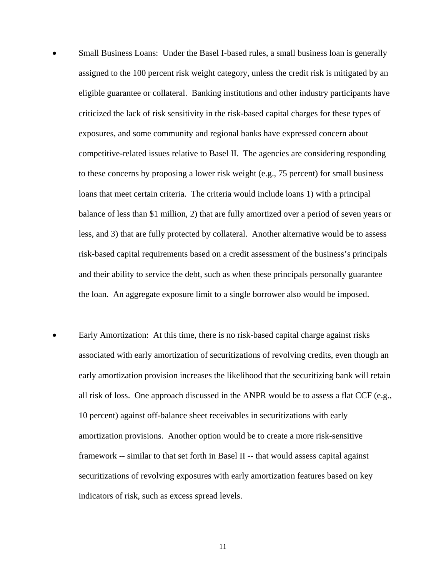- Small Business Loans: Under the Basel I-based rules, a small business loan is generally assigned to the 100 percent risk weight category, unless the credit risk is mitigated by an eligible guarantee or collateral. Banking institutions and other industry participants have criticized the lack of risk sensitivity in the risk-based capital charges for these types of exposures, and some community and regional banks have expressed concern about competitive-related issues relative to Basel II. The agencies are considering responding to these concerns by proposing a lower risk weight (e.g., 75 percent) for small business loans that meet certain criteria. The criteria would include loans 1) with a principal balance of less than \$1 million, 2) that are fully amortized over a period of seven years or less, and 3) that are fully protected by collateral. Another alternative would be to assess risk-based capital requirements based on a credit assessment of the business's principals and their ability to service the debt, such as when these principals personally guarantee the loan. An aggregate exposure limit to a single borrower also would be imposed.
- Early Amortization: At this time, there is no risk-based capital charge against risks associated with early amortization of securitizations of revolving credits, even though an early amortization provision increases the likelihood that the securitizing bank will retain all risk of loss. One approach discussed in the ANPR would be to assess a flat CCF (e.g., 10 percent) against off-balance sheet receivables in securitizations with early amortization provisions. Another option would be to create a more risk-sensitive framework -- similar to that set forth in Basel II -- that would assess capital against securitizations of revolving exposures with early amortization features based on key indicators of risk, such as excess spread levels.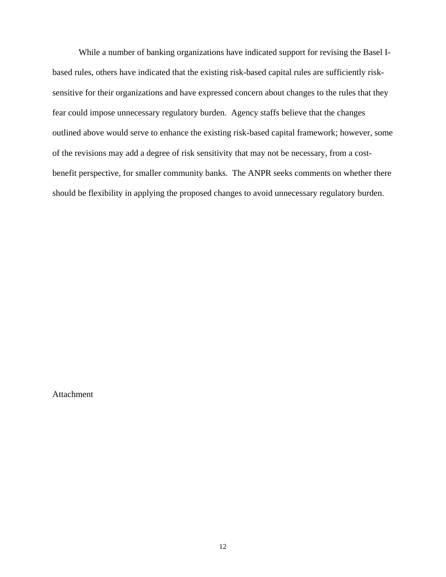While a number of banking organizations have indicated support for revising the Basel Ibased rules, others have indicated that the existing risk-based capital rules are sufficiently risksensitive for their organizations and have expressed concern about changes to the rules that they fear could impose unnecessary regulatory burden. Agency staffs believe that the changes outlined above would serve to enhance the existing risk-based capital framework; however, some of the revisions may add a degree of risk sensitivity that may not be necessary, from a costbenefit perspective, for smaller community banks. The ANPR seeks comments on whether there should be flexibility in applying the proposed changes to avoid unnecessary regulatory burden.

Attachment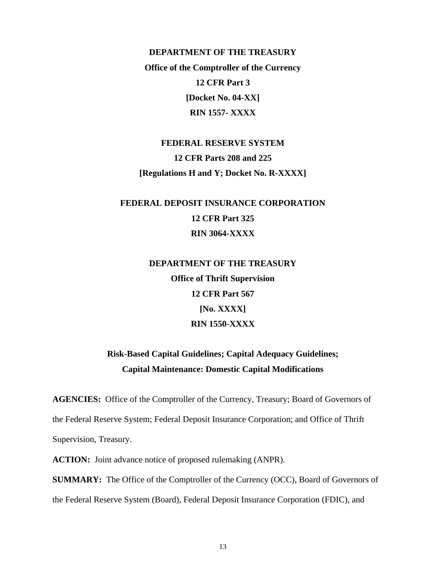**DEPARTMENT OF THE TREASURY Office of the Comptroller of the Currency 12 CFR Part 3 [Docket No. 04-XX] RIN 1557- XXXX** 

**FEDERAL RESERVE SYSTEM 12 CFR Parts 208 and 225 [Regulations H and Y; Docket No. R-XXXX]** 

## **FEDERAL DEPOSIT INSURANCE CORPORATION 12 CFR Part 325 RIN 3064-XXXX**

**DEPARTMENT OF THE TREASURY Office of Thrift Supervision 12 CFR Part 567 [No. XXXX] RIN 1550-XXXX** 

## **Risk-Based Capital Guidelines; Capital Adequacy Guidelines; Capital Maintenance: Domestic Capital Modifications**

**AGENCIES:** Office of the Comptroller of the Currency, Treasury; Board of Governors of the Federal Reserve System; Federal Deposit Insurance Corporation; and Office of Thrift Supervision, Treasury.

**ACTION:** Joint advance notice of proposed rulemaking (ANPR).

**SUMMARY:** The Office of the Comptroller of the Currency (OCC), Board of Governors of the Federal Reserve System (Board), Federal Deposit Insurance Corporation (FDIC), and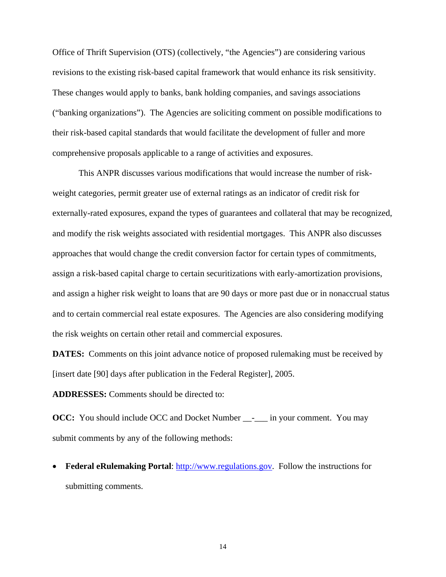Office of Thrift Supervision (OTS) (collectively, "the Agencies") are considering various revisions to the existing risk-based capital framework that would enhance its risk sensitivity. These changes would apply to banks, bank holding companies, and savings associations ("banking organizations"). The Agencies are soliciting comment on possible modifications to their risk-based capital standards that would facilitate the development of fuller and more comprehensive proposals applicable to a range of activities and exposures.

 This ANPR discusses various modifications that would increase the number of riskweight categories, permit greater use of external ratings as an indicator of credit risk for externally-rated exposures, expand the types of guarantees and collateral that may be recognized, and modify the risk weights associated with residential mortgages. This ANPR also discusses approaches that would change the credit conversion factor for certain types of commitments, assign a risk-based capital charge to certain securitizations with early-amortization provisions, and assign a higher risk weight to loans that are 90 days or more past due or in nonaccrual status and to certain commercial real estate exposures. The Agencies are also considering modifying the risk weights on certain other retail and commercial exposures.

**DATES:** Comments on this joint advance notice of proposed rulemaking must be received by [insert date [90] days after publication in the Federal Register], 2005.

**ADDRESSES:** Comments should be directed to:

**OCC:** You should include OCC and Docket Number \_\_-\_\_\_ in your comment. You may submit comments by any of the following methods:

• **Federal eRulemaking Portal**: [http://www.regulations.gov.](http://www.regulations.gov/) Follow the instructions for submitting comments.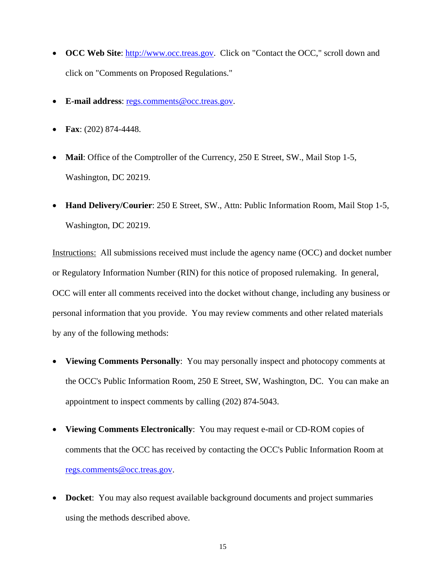- **OCC Web Site:** [http://www.occ.treas.gov](http://www.occ.treas.gov/). Click on "Contact the OCC," scroll down and click on "Comments on Proposed Regulations."
- **E-mail address**: regs.comments@occ.treas.gov.
- **Fax**: (202) 874-4448.
- **Mail**: Office of the Comptroller of the Currency, 250 E Street, SW., Mail Stop 1-5, Washington, DC 20219.
- **Hand Delivery/Courier**: 250 E Street, SW., Attn: Public Information Room, Mail Stop 1-5, Washington, DC 20219.

Instructions: All submissions received must include the agency name (OCC) and docket number or Regulatory Information Number (RIN) for this notice of proposed rulemaking. In general, OCC will enter all comments received into the docket without change, including any business or personal information that you provide. You may review comments and other related materials by any of the following methods:

- **Viewing Comments Personally**: You may personally inspect and photocopy comments at the OCC's Public Information Room, 250 E Street, SW, Washington, DC. You can make an appointment to inspect comments by calling (202) 874-5043.
- **Viewing Comments Electronically**: You may request e-mail or CD-ROM copies of comments that the OCC has received by contacting the OCC's Public Information Room at regs.comments@occ.treas.gov.
- **Docket**: You may also request available background documents and project summaries using the methods described above.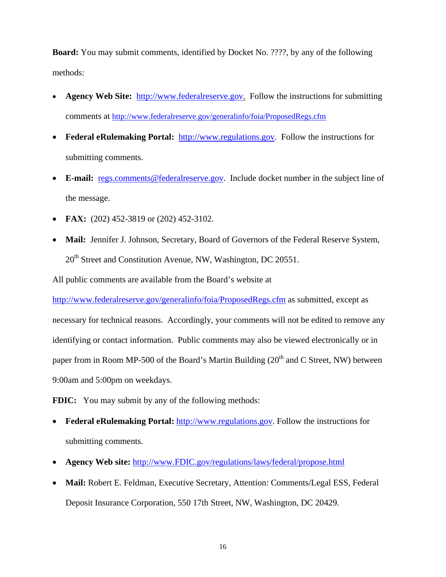**Board:** You may submit comments, identified by Docket No. ????, by any of the following methods:

- **Agency Web Site:** [http://www.federalreserve.gov.](http://www.federalreserve.gov/) Follow the instructions for submitting comments at <http://www.federalreserve.gov/generalinfo/foia/ProposedRegs.cfm>
- **Federal eRulemaking Portal:** [http://www.regulations.gov](http://www.regulations.gov/). Follow the instructions for submitting comments.
- **E-mail:** [regs.comments@federalreserve.gov.](mailto:regs.comments@federalreserve.gov) Include docket number in the subject line of the message.
- **FAX:** (202) 452-3819 or (202) 452-3102.
- **Mail:** Jennifer J. Johnson, Secretary, Board of Governors of the Federal Reserve System,  $20<sup>th</sup>$  Street and Constitution Avenue, NW, Washington, DC 20551.

All public comments are available from the Board's website at

<http://www.federalreserve.gov/generalinfo/foia/ProposedRegs.cfm> as submitted, except as necessary for technical reasons. Accordingly, your comments will not be edited to remove any identifying or contact information. Public comments may also be viewed electronically or in paper from in Room MP-500 of the Board's Martin Building  $(20<sup>th</sup>$  and C Street, NW) between 9:00am and 5:00pm on weekdays.

**FDIC:** You may submit by any of the following methods:

- **Federal eRulemaking Portal:** [http://www.regulations.gov](http://www.regulations.gov/). Follow the instructions for submitting comments.
- **Agency Web site:** [http://www.FDIC.gov/regulations/laws/federal/propose.html](http://frwebgate.access.gpo.gov/cgi-bin/leaving.cgi?from=leavingFR.html&log=linklog&to=http://www.FDIC.gov/regulations/laws/federal/propose.html)
- **Mail:** Robert E. Feldman, Executive Secretary, Attention: Comments/Legal ESS, Federal Deposit Insurance Corporation, 550 17th Street, NW, Washington, DC 20429.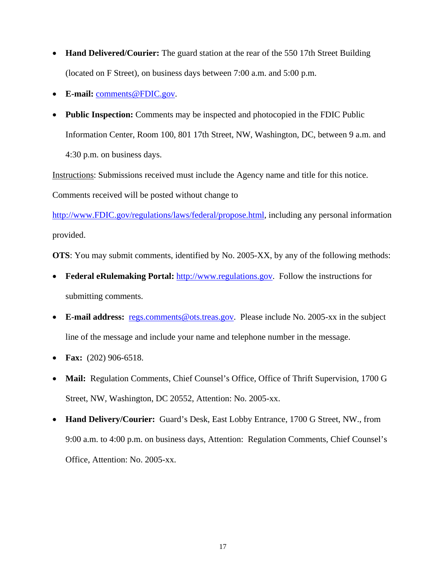- **Hand Delivered/Courier:** The guard station at the rear of the 550 17th Street Building (located on F Street), on business days between 7:00 a.m. and 5:00 p.m.
- **E-mail:** [comments@FDIC.gov](mailto:comments@FDIC.gov).
- **Public Inspection:** Comments may be inspected and photocopied in the FDIC Public Information Center, Room 100, 801 17th Street, NW, Washington, DC, between 9 a.m. and 4:30 p.m. on business days.

Instructions: Submissions received must include the Agency name and title for this notice.

Comments received will be posted without change to

[http://www.FDIC.gov/regulations/laws/federal/propose.html,](http://frwebgate.access.gpo.gov/cgi-bin/leaving.cgi?from=leavingFR.html&log=linklog&to=http://www.FDIC.gov/regulations/laws/federal/propose.html) including any personal information provided.

**OTS**: You may submit comments, identified by No. 2005-XX, by any of the following methods:

- **Federal eRulemaking Portal:** [http://www.regulations.gov](http://www.regulations.gov/). Follow the instructions for submitting comments.
- **E-mail address:** [regs.comments@ots.treas.gov](mailto:public.info@ots.treas.gov). Please include No. 2005-xx in the subject line of the message and include your name and telephone number in the message.
- **Fax:** (202) 906-6518.
- **Mail:** Regulation Comments, Chief Counsel's Office, Office of Thrift Supervision, 1700 G Street, NW, Washington, DC 20552, Attention: No. 2005-xx.
- **Hand Delivery/Courier:** Guard's Desk, East Lobby Entrance, 1700 G Street, NW., from 9:00 a.m. to 4:00 p.m. on business days, Attention: Regulation Comments, Chief Counsel's Office, Attention: No. 2005-xx.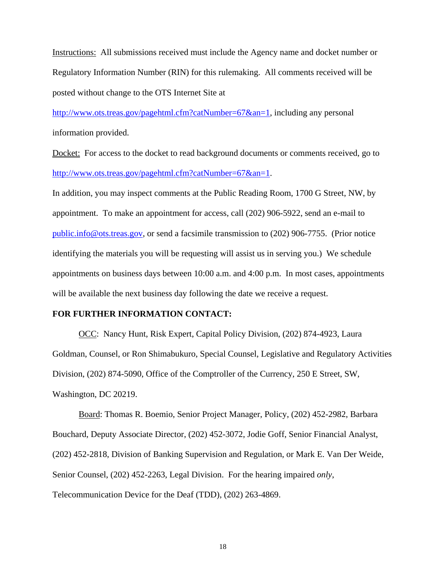Instructions: All submissions received must include the Agency name and docket number or Regulatory Information Number (RIN) for this rulemaking. All comments received will be posted without change to the OTS Internet Site at

[http://www.ots.treas.gov/pagehtml.cfm?catNumber=67&an=1,](http://www.ots.treas.gov/pagehtml.cfm?catNumber=67&an=1) including any personal information provided.

Docket: For access to the docket to read background documents or comments received, go to [http://www.ots.treas.gov/pagehtml.cfm?catNumber=67&an=1.](http://www.ots.treas.gov/pagehtml.cfm?catNumber=67&an=1)

In addition, you may inspect comments at the Public Reading Room, 1700 G Street, NW, by appointment. To make an appointment for access, call (202) 906-5922, send an e-mail to [public.info@ots.treas.gov](mailto:public.info@ots.treas.gov), or send a facsimile transmission to (202) 906-7755. (Prior notice identifying the materials you will be requesting will assist us in serving you.) We schedule appointments on business days between 10:00 a.m. and 4:00 p.m. In most cases, appointments will be available the next business day following the date we receive a request.

#### **FOR FURTHER INFORMATION CONTACT:**

OCC: Nancy Hunt, Risk Expert, Capital Policy Division, (202) 874-4923, Laura Goldman, Counsel, or Ron Shimabukuro, Special Counsel, Legislative and Regulatory Activities Division, (202) 874-5090, Office of the Comptroller of the Currency, 250 E Street, SW, Washington, DC 20219.

Board: Thomas R. Boemio, Senior Project Manager, Policy, (202) 452-2982, Barbara Bouchard, Deputy Associate Director, (202) 452-3072, Jodie Goff, Senior Financial Analyst, (202) 452-2818, Division of Banking Supervision and Regulation, or Mark E. Van Der Weide, Senior Counsel, (202) 452-2263, Legal Division. For the hearing impaired *only*, Telecommunication Device for the Deaf (TDD), (202) 263-4869.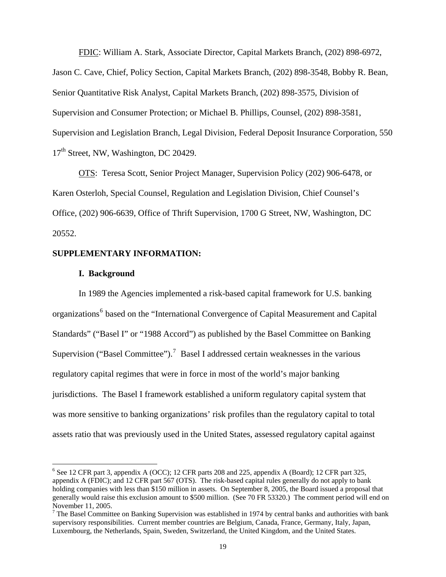FDIC: William A. Stark, Associate Director, Capital Markets Branch, (202) 898-6972, Jason C. Cave, Chief, Policy Section, Capital Markets Branch, (202) 898-3548, Bobby R. Bean, Senior Quantitative Risk Analyst, Capital Markets Branch, (202) 898-3575, Division of Supervision and Consumer Protection; or Michael B. Phillips, Counsel, (202) 898-3581, Supervision and Legislation Branch, Legal Division, Federal Deposit Insurance Corporation, 550 17<sup>th</sup> Street, NW, Washington, DC 20429.

OTS: Teresa Scott, Senior Project Manager, Supervision Policy (202) 906-6478, or Karen Osterloh, Special Counsel, Regulation and Legislation Division, Chief Counsel's Office, (202) 906-6639, Office of Thrift Supervision, 1700 G Street, NW, Washington, DC 20552.

## **SUPPLEMENTARY INFORMATION:**

#### **I. Background**

 $\overline{a}$ 

In 1989 the Agencies implemented a risk-based capital framework for U.S. banking organizations<sup>[6](#page-18-0)</sup> based on the "International Convergence of Capital Measurement and Capital Standards" ("Basel I" or "1988 Accord") as published by the Basel Committee on Banking Supervision ("Basel Committee").<sup>[7](#page-18-1)</sup> Basel I addressed certain weaknesses in the various regulatory capital regimes that were in force in most of the world's major banking jurisdictions. The Basel I framework established a uniform regulatory capital system that was more sensitive to banking organizations' risk profiles than the regulatory capital to total assets ratio that was previously used in the United States, assessed regulatory capital against

<span id="page-18-0"></span><sup>&</sup>lt;sup>6</sup> See 12 CFR part 3, appendix A (OCC); 12 CFR parts 208 and 225, appendix A (Board); 12 CFR part 325, appendix A (FDIC); and 12 CFR part 567 (OTS). The risk-based capital rules generally do not apply to bank holding companies with less than \$150 million in assets. On September 8, 2005, the Board issued a proposal that generally would raise this exclusion amount to \$500 million. (See 70 FR 53320.) The comment period will end on November 11, 2005.

<span id="page-18-1"></span><sup>&</sup>lt;sup>7</sup> The Basel Committee on Banking Supervision was established in 1974 by central banks and authorities with bank supervisory responsibilities. Current member countries are Belgium, Canada, France, Germany, Italy, Japan, Luxembourg, the Netherlands, Spain, Sweden, Switzerland, the United Kingdom, and the United States.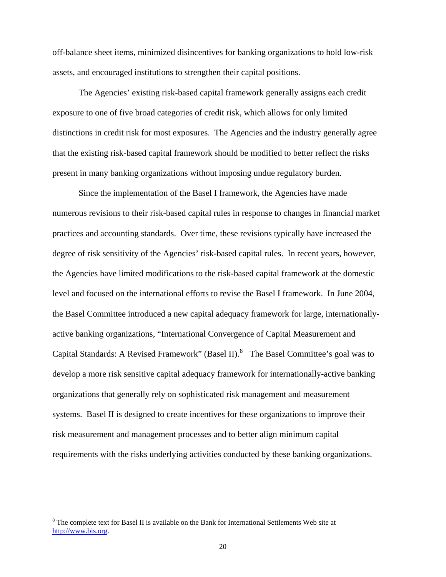off-balance sheet items, minimized disincentives for banking organizations to hold low-risk assets, and encouraged institutions to strengthen their capital positions.

The Agencies' existing risk-based capital framework generally assigns each credit exposure to one of five broad categories of credit risk, which allows for only limited distinctions in credit risk for most exposures. The Agencies and the industry generally agree that the existing risk-based capital framework should be modified to better reflect the risks present in many banking organizations without imposing undue regulatory burden.

Since the implementation of the Basel I framework, the Agencies have made numerous revisions to their risk-based capital rules in response to changes in financial market practices and accounting standards. Over time, these revisions typically have increased the degree of risk sensitivity of the Agencies' risk-based capital rules. In recent years, however, the Agencies have limited modifications to the risk-based capital framework at the domestic level and focused on the international efforts to revise the Basel I framework. In June 2004, the Basel Committee introduced a new capital adequacy framework for large, internationallyactive banking organizations, "International Convergence of Capital Measurement and Capital Standards: A Revised Framework" (Basel II). $8$  The Basel Committee's goal was to develop a more risk sensitive capital adequacy framework for internationally-active banking organizations that generally rely on sophisticated risk management and measurement systems. Basel II is designed to create incentives for these organizations to improve their risk measurement and management processes and to better align minimum capital requirements with the risks underlying activities conducted by these banking organizations.

<span id="page-19-0"></span> $8$  The complete text for Basel II is available on the Bank for International Settlements Web site at [http://www.bis.org.](http://www.bis.org/)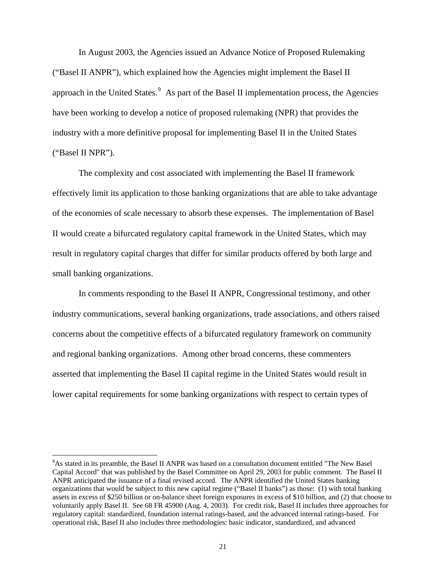In August 2003, the Agencies issued an Advance Notice of Proposed Rulemaking ("Basel II ANPR"), which explained how the Agencies might implement the Basel II approach in the United States. $9$  As part of the Basel II implementation process, the Agencies have been working to develop a notice of proposed rulemaking (NPR) that provides the industry with a more definitive proposal for implementing Basel II in the United States ("Basel II NPR").

The complexity and cost associated with implementing the Basel II framework effectively limit its application to those banking organizations that are able to take advantage of the economies of scale necessary to absorb these expenses. The implementation of Basel II would create a bifurcated regulatory capital framework in the United States, which may result in regulatory capital charges that differ for similar products offered by both large and small banking organizations.

In comments responding to the Basel II ANPR, Congressional testimony, and other industry communications, several banking organizations, trade associations, and others raised concerns about the competitive effects of a bifurcated regulatory framework on community and regional banking organizations. Among other broad concerns, these commenters asserted that implementing the Basel II capital regime in the United States would result in lower capital requirements for some banking organizations with respect to certain types of

<span id="page-20-0"></span><sup>&</sup>lt;sup>9</sup>As stated in its preamble, the Basel II ANPR was based on a consultation document entitled "The New Basel Capital Accord" that was published by the Basel Committee on April 29, 2003 for public comment. The Basel II ANPR anticipated the issuance of a final revised accord. The ANPR identified the United States banking organizations that would be subject to this new capital regime ("Basel II banks") as those: (1) with total banking assets in excess of \$250 billion or on-balance sheet foreign exposures in excess of \$10 billion, and (2) that choose to voluntarily apply Basel II. See 68 FR 45900 (Aug. 4, 2003). For credit risk, Basel II includes three approaches for regulatory capital: standardized, foundation internal ratings-based, and the advanced internal ratings-based. For operational risk, Basel II also includes three methodologies: basic indicator, standardized, and advanced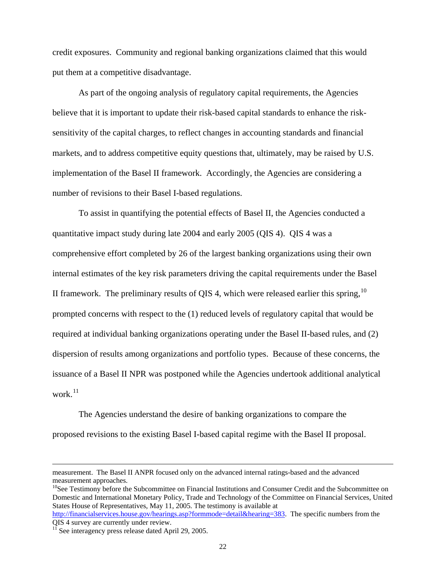credit exposures. Community and regional banking organizations claimed that this would put them at a competitive disadvantage.

As part of the ongoing analysis of regulatory capital requirements, the Agencies believe that it is important to update their risk-based capital standards to enhance the risksensitivity of the capital charges, to reflect changes in accounting standards and financial markets, and to address competitive equity questions that, ultimately, may be raised by U.S. implementation of the Basel II framework. Accordingly, the Agencies are considering a number of revisions to their Basel I-based regulations.

To assist in quantifying the potential effects of Basel II, the Agencies conducted a quantitative impact study during late 2004 and early 2005 (QIS 4). QIS 4 was a comprehensive effort completed by 26 of the largest banking organizations using their own internal estimates of the key risk parameters driving the capital requirements under the Basel II framework. The preliminary results of QIS 4, which were released earlier this spring,  $10$ prompted concerns with respect to the (1) reduced levels of regulatory capital that would be required at individual banking organizations operating under the Basel II-based rules, and (2) dispersion of results among organizations and portfolio types. Because of these concerns, the issuance of a Basel II NPR was postponed while the Agencies undertook additional analytical work.<sup>[11](#page-21-1)</sup>

The Agencies understand the desire of banking organizations to compare the proposed revisions to the existing Basel I-based capital regime with the Basel II proposal.

<span id="page-21-0"></span><sup>10</sup>See Testimony before the Subcommittee on Financial Institutions and Consumer Credit and the Subcommittee on Domestic and International Monetary Policy, Trade and Technology of the Committee on Financial Services, United States House of Representatives, May 11, 2005. The testimony is available at

measurement. The Basel II ANPR focused only on the advanced internal ratings-based and the advanced measurement approaches.

<http://financialservices.house.gov/hearings.asp?formmode=detail&hearing=383>. The specific numbers from the QIS 4 survey are currently under review.

<span id="page-21-1"></span> $\overline{^{11}}$  See interagency press release dated April 29, 2005.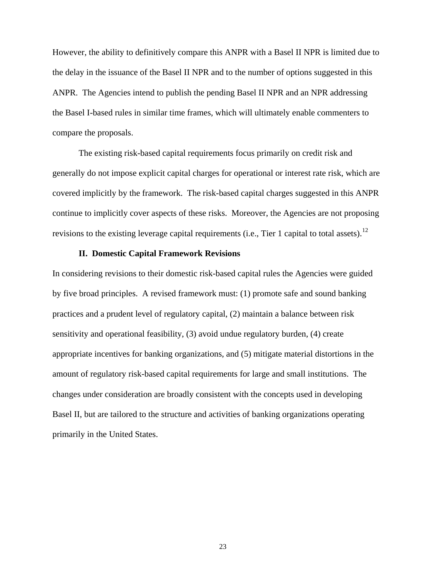However, the ability to definitively compare this ANPR with a Basel II NPR is limited due to the delay in the issuance of the Basel II NPR and to the number of options suggested in this ANPR. The Agencies intend to publish the pending Basel II NPR and an NPR addressing the Basel I-based rules in similar time frames, which will ultimately enable commenters to compare the proposals.

 The existing risk-based capital requirements focus primarily on credit risk and generally do not impose explicit capital charges for operational or interest rate risk, which are covered implicitly by the framework. The risk-based capital charges suggested in this ANPR continue to implicitly cover aspects of these risks. Moreover, the Agencies are not proposing revisions to the existing leverage capital requirements (i.e., Tier 1 capital to total assets).<sup>[12](#page-22-0)</sup>

#### **II. Domestic Capital Framework Revisions**

<span id="page-22-0"></span>In considering revisions to their domestic risk-based capital rules the Agencies were guided by five broad principles. A revised framework must: (1) promote safe and sound banking practices and a prudent level of regulatory capital, (2) maintain a balance between risk sensitivity and operational feasibility, (3) avoid undue regulatory burden, (4) create appropriate incentives for banking organizations, and (5) mitigate material distortions in the amount of regulatory risk-based capital requirements for large and small institutions. The changes under consideration are broadly consistent with the concepts used in developing Basel II, but are tailored to the structure and activities of banking organizations operating primarily in the United States.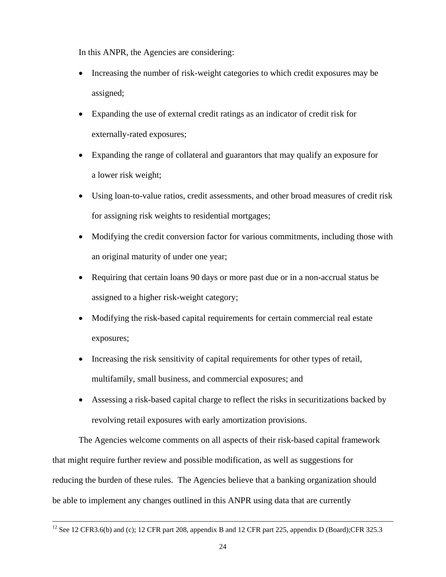In this ANPR, the Agencies are considering:

- Increasing the number of risk-weight categories to which credit exposures may be assigned;
- Expanding the use of external credit ratings as an indicator of credit risk for externally-rated exposures;
- Expanding the range of collateral and guarantors that may qualify an exposure for a lower risk weight;
- Using loan-to-value ratios, credit assessments, and other broad measures of credit risk for assigning risk weights to residential mortgages;
- Modifying the credit conversion factor for various commitments, including those with an original maturity of under one year;
- Requiring that certain loans 90 days or more past due or in a non-accrual status be assigned to a higher risk-weight category;
- Modifying the risk-based capital requirements for certain commercial real estate exposures;
- Increasing the risk sensitivity of capital requirements for other types of retail, multifamily, small business, and commercial exposures; and
- Assessing a risk-based capital charge to reflect the risks in securitizations backed by revolving retail exposures with early amortization provisions.

The Agencies welcome comments on all aspects of their risk-based capital framework that might require further review and possible modification, as well as suggestions for reducing the burden of these rules. The Agencies believe that a banking organization should be able to implement any changes outlined in this ANPR using data that are currently

<sup>&</sup>lt;sup>12</sup> See 12 CFR3.6(b) and (c); 12 CFR part 208, appendix B and 12 CFR part 225, appendix D (Board);CFR 325.3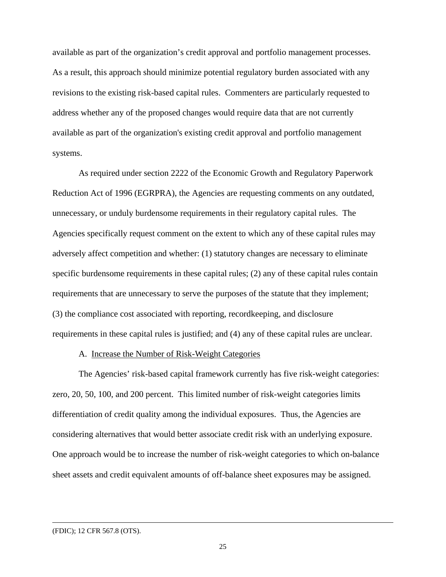available as part of the organization's credit approval and portfolio management processes. As a result, this approach should minimize potential regulatory burden associated with any revisions to the existing risk-based capital rules. Commenters are particularly requested to address whether any of the proposed changes would require data that are not currently available as part of the organization's existing credit approval and portfolio management systems.

As required under section 2222 of the Economic Growth and Regulatory Paperwork Reduction Act of 1996 (EGRPRA), the Agencies are requesting comments on any outdated, unnecessary, or unduly burdensome requirements in their regulatory capital rules. The Agencies specifically request comment on the extent to which any of these capital rules may adversely affect competition and whether: (1) statutory changes are necessary to eliminate specific burdensome requirements in these capital rules; (2) any of these capital rules contain requirements that are unnecessary to serve the purposes of the statute that they implement; (3) the compliance cost associated with reporting, recordkeeping, and disclosure requirements in these capital rules is justified; and (4) any of these capital rules are unclear.

## A. Increase the Number of Risk-Weight Categories

 The Agencies' risk-based capital framework currently has five risk-weight categories: zero, 20, 50, 100, and 200 percent. This limited number of risk-weight categories limits differentiation of credit quality among the individual exposures. Thus, the Agencies are considering alternatives that would better associate credit risk with an underlying exposure. One approach would be to increase the number of risk-weight categories to which on-balance sheet assets and credit equivalent amounts of off-balance sheet exposures may be assigned.

 <sup>(</sup>FDIC); 12 CFR 567.8 (OTS).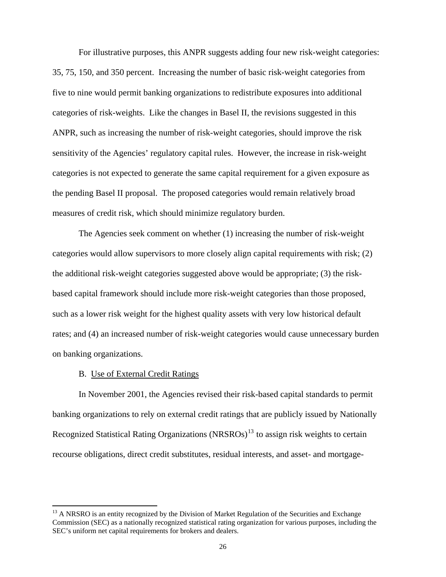<span id="page-25-0"></span> For illustrative purposes, this ANPR suggests adding four new risk-weight categories: 35, 75, 150, and 350 percent. Increasing the number of basic risk-weight categories from five to nine would permit banking organizations to redistribute exposures into additional categories of risk-weights. Like the changes in Basel II, the revisions suggested in this ANPR, such as increasing the number of risk-weight categories, should improve the risk sensitivity of the Agencies' regulatory capital rules. However, the increase in risk-weight categories is not expected to generate the same capital requirement for a given exposure as the pending Basel II proposal. The proposed categories would remain relatively broad measures of credit risk, which should minimize regulatory burden.

 The Agencies seek comment on whether (1) increasing the number of risk-weight categories would allow supervisors to more closely align capital requirements with risk; (2) the additional risk-weight categories suggested above would be appropriate; (3) the riskbased capital framework should include more risk-weight categories than those proposed, such as a lower risk weight for the highest quality assets with very low historical default rates; and (4) an increased number of risk-weight categories would cause unnecessary burden on banking organizations.

## B. Use of External Credit Ratings

 $\overline{a}$ 

In November 2001, the Agencies revised their risk-based capital standards to permit banking organizations to rely on external credit ratings that are publicly issued by Nationally Recognized Statistical Rating Organizations (NRSROs)<sup>[13](#page-25-0)</sup> to assign risk weights to certain recourse obligations, direct credit substitutes, residual interests, and asset- and mortgage-

<sup>&</sup>lt;sup>13</sup> A NRSRO is an entity recognized by the Division of Market Regulation of the Securities and Exchange Commission (SEC) as a nationally recognized statistical rating organization for various purposes, including the SEC's uniform net capital requirements for brokers and dealers.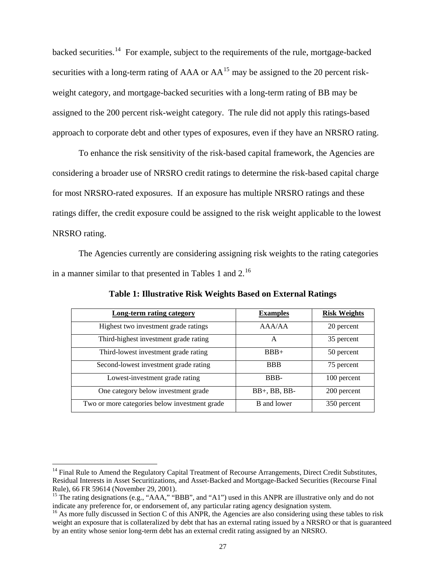backed securities.[14](#page-26-0) For example, subject to the requirements of the rule, mortgage-backed securities with a long-term rating of AAA or  $AA<sup>15</sup>$  $AA<sup>15</sup>$  $AA<sup>15</sup>$  may be assigned to the 20 percent riskweight category, and mortgage-backed securities with a long-term rating of BB may be assigned to the 200 percent risk-weight category. The rule did not apply this ratings-based approach to corporate debt and other types of exposures, even if they have an NRSRO rating.

 To enhance the risk sensitivity of the risk-based capital framework, the Agencies are considering a broader use of NRSRO credit ratings to determine the risk-based capital charge for most NRSRO-rated exposures. If an exposure has multiple NRSRO ratings and these ratings differ, the credit exposure could be assigned to the risk weight applicable to the lowest NRSRO rating.

 The Agencies currently are considering assigning risk weights to the rating categories in a manner similar to that presented in Tables 1 and  $2<sup>16</sup>$  $2<sup>16</sup>$  $2<sup>16</sup>$ 

| <b>Long-term rating category</b>              | <b>Examples</b>    | <b>Risk Weights</b> |
|-----------------------------------------------|--------------------|---------------------|
| Highest two investment grade ratings          | AAA/AA             | 20 percent          |
| Third-highest investment grade rating         | A                  | 35 percent          |
| Third-lowest investment grade rating          | $BBB+$             | 50 percent          |
| Second-lowest investment grade rating         | <b>BBB</b>         | 75 percent          |
| Lowest-investment grade rating                | BBB-               | 100 percent         |
| One category below investment grade           | $BB+, BB, BB-$     | 200 percent         |
| Two or more categories below investment grade | <b>B</b> and lower | 350 percent         |

**Table 1: Illustrative Risk Weights Based on External Ratings**

<span id="page-26-0"></span><sup>&</sup>lt;sup>14</sup> Final Rule to Amend the Regulatory Capital Treatment of Recourse Arrangements, Direct Credit Substitutes, Residual Interests in Asset Securitizations, and Asset-Backed and Mortgage-Backed Securities (Recourse Final Rule), 66 FR 59614 (November 29, 2001).

<span id="page-26-1"></span><sup>&</sup>lt;sup>15</sup> The rating designations (e.g., "AAA," "BBB", and "A1") used in this ANPR are illustrative only and do not indicate any preference for, or endorsement of, any particular rating agency designation system.

<span id="page-26-2"></span><sup>&</sup>lt;sup>16</sup> As more fully discussed in Section C of this ANPR, the Agencies are also considering using these tables to risk weight an exposure that is collateralized by debt that has an external rating issued by a NRSRO or that is guaranteed by an entity whose senior long-term debt has an external credit rating assigned by an NRSRO.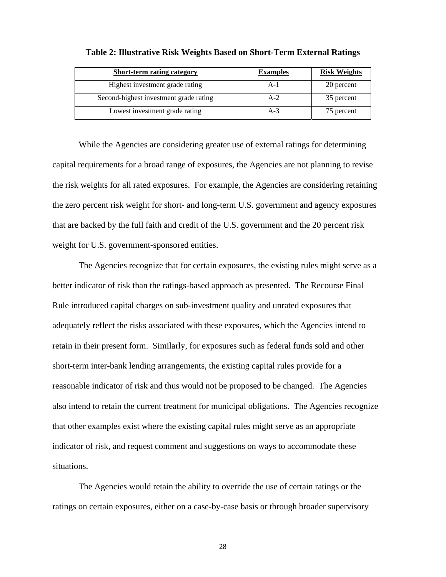| <b>Short-term rating category</b>      | <b>Examples</b> | <b>Risk Weights</b> |
|----------------------------------------|-----------------|---------------------|
| Highest investment grade rating        | A-1             | 20 percent          |
| Second-highest investment grade rating | $A-2$           | 35 percent          |
| Lowest investment grade rating         | $A-3$           | 75 percent          |

#### **Table 2: Illustrative Risk Weights Based on Short-Term External Ratings**

While the Agencies are considering greater use of external ratings for determining capital requirements for a broad range of exposures, the Agencies are not planning to revise the risk weights for all rated exposures. For example, the Agencies are considering retaining the zero percent risk weight for short- and long-term U.S. government and agency exposures that are backed by the full faith and credit of the U.S. government and the 20 percent risk weight for U.S. government-sponsored entities.

The Agencies recognize that for certain exposures, the existing rules might serve as a better indicator of risk than the ratings-based approach as presented. The Recourse Final Rule introduced capital charges on sub-investment quality and unrated exposures that adequately reflect the risks associated with these exposures, which the Agencies intend to retain in their present form. Similarly, for exposures such as federal funds sold and other short-term inter-bank lending arrangements, the existing capital rules provide for a reasonable indicator of risk and thus would not be proposed to be changed. The Agencies also intend to retain the current treatment for municipal obligations. The Agencies recognize that other examples exist where the existing capital rules might serve as an appropriate indicator of risk, and request comment and suggestions on ways to accommodate these situations.

The Agencies would retain the ability to override the use of certain ratings or the ratings on certain exposures, either on a case-by-case basis or through broader supervisory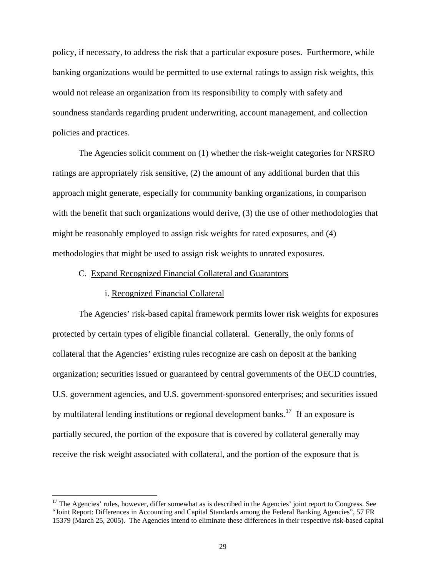policy, if necessary, to address the risk that a particular exposure poses. Furthermore, while banking organizations would be permitted to use external ratings to assign risk weights, this would not release an organization from its responsibility to comply with safety and soundness standards regarding prudent underwriting, account management, and collection policies and practices.

The Agencies solicit comment on (1) whether the risk-weight categories for NRSRO ratings are appropriately risk sensitive, (2) the amount of any additional burden that this approach might generate, especially for community banking organizations, in comparison with the benefit that such organizations would derive, (3) the use of other methodologies that might be reasonably employed to assign risk weights for rated exposures, and (4) methodologies that might be used to assign risk weights to unrated exposures.

#### C. Expand Recognized Financial Collateral and Guarantors

## i. Recognized Financial Collateral

 $\overline{a}$ 

 The Agencies' risk-based capital framework permits lower risk weights for exposures protected by certain types of eligible financial collateral. Generally, the only forms of collateral that the Agencies' existing rules recognize are cash on deposit at the banking organization; securities issued or guaranteed by central governments of the OECD countries, U.S. government agencies, and U.S. government-sponsored enterprises; and securities issued by multilateral lending institutions or regional development banks.<sup>[17](#page-28-0)</sup> If an exposure is partially secured, the portion of the exposure that is covered by collateral generally may receive the risk weight associated with collateral, and the portion of the exposure that is

<span id="page-28-0"></span><sup>&</sup>lt;sup>17</sup> The Agencies' rules, however, differ somewhat as is described in the Agencies' joint report to Congress. See "Joint Report: Differences in Accounting and Capital Standards among the Federal Banking Agencies", 57 FR 15379 (March 25, 2005). The Agencies intend to eliminate these differences in their respective risk-based capital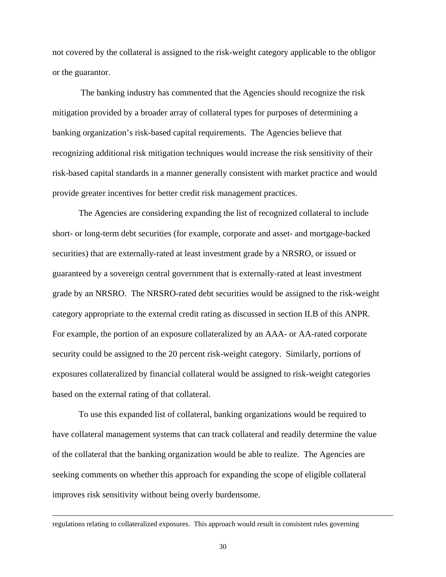not covered by the collateral is assigned to the risk-weight category applicable to the obligor or the guarantor.

 The banking industry has commented that the Agencies should recognize the risk mitigation provided by a broader array of collateral types for purposes of determining a banking organization's risk-based capital requirements. The Agencies believe that recognizing additional risk mitigation techniques would increase the risk sensitivity of their risk-based capital standards in a manner generally consistent with market practice and would provide greater incentives for better credit risk management practices.

 The Agencies are considering expanding the list of recognized collateral to include short- or long-term debt securities (for example, corporate and asset- and mortgage-backed securities) that are externally-rated at least investment grade by a NRSRO, or issued or guaranteed by a sovereign central government that is externally-rated at least investment grade by an NRSRO. The NRSRO-rated debt securities would be assigned to the risk-weight category appropriate to the external credit rating as discussed in section II.B of this ANPR. For example, the portion of an exposure collateralized by an AAA- or AA-rated corporate security could be assigned to the 20 percent risk-weight category. Similarly, portions of exposures collateralized by financial collateral would be assigned to risk-weight categories based on the external rating of that collateral.

 To use this expanded list of collateral, banking organizations would be required to have collateral management systems that can track collateral and readily determine the value of the collateral that the banking organization would be able to realize. The Agencies are seeking comments on whether this approach for expanding the scope of eligible collateral improves risk sensitivity without being overly burdensome.

regulations relating to collateralized exposures. This approach would result in consistent rules governing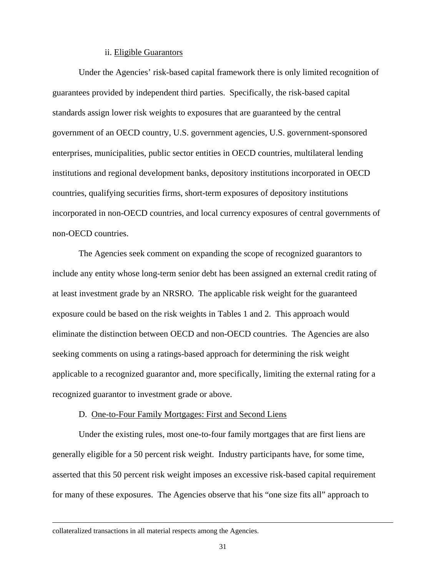### ii. Eligible Guarantors

 Under the Agencies' risk-based capital framework there is only limited recognition of guarantees provided by independent third parties. Specifically, the risk-based capital standards assign lower risk weights to exposures that are guaranteed by the central government of an OECD country, U.S. government agencies, U.S. government-sponsored enterprises, municipalities, public sector entities in OECD countries, multilateral lending institutions and regional development banks, depository institutions incorporated in OECD countries, qualifying securities firms, short-term exposures of depository institutions incorporated in non-OECD countries, and local currency exposures of central governments of non-OECD countries.

 The Agencies seek comment on expanding the scope of recognized guarantors to include any entity whose long-term senior debt has been assigned an external credit rating of at least investment grade by an NRSRO. The applicable risk weight for the guaranteed exposure could be based on the risk weights in Tables 1 and 2. This approach would eliminate the distinction between OECD and non-OECD countries. The Agencies are also seeking comments on using a ratings-based approach for determining the risk weight applicable to a recognized guarantor and, more specifically, limiting the external rating for a recognized guarantor to investment grade or above.

## D. One-to-Four Family Mortgages: First and Second Liens

Under the existing rules, most one-to-four family mortgages that are first liens are generally eligible for a 50 percent risk weight. Industry participants have, for some time, asserted that this 50 percent risk weight imposes an excessive risk-based capital requirement for many of these exposures. The Agencies observe that his "one size fits all" approach to

collateralized transactions in all material respects among the Agencies.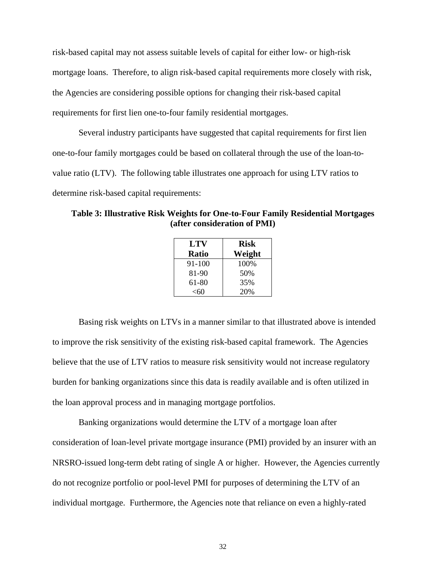risk-based capital may not assess suitable levels of capital for either low- or high-risk mortgage loans. Therefore, to align risk-based capital requirements more closely with risk, the Agencies are considering possible options for changing their risk-based capital requirements for first lien one-to-four family residential mortgages.

Several industry participants have suggested that capital requirements for first lien one-to-four family mortgages could be based on collateral through the use of the loan-tovalue ratio (LTV). The following table illustrates one approach for using LTV ratios to determine risk-based capital requirements:

**Table 3: Illustrative Risk Weights for One-to-Four Family Residential Mortgages (after consideration of PMI)** 

| LTV    | <b>Risk</b> |
|--------|-------------|
| Ratio  | Weight      |
| 91-100 | 100%        |
| 81-90  | 50%         |
| 61-80  | 35%         |
| $<$ 60 | 20%         |

Basing risk weights on LTVs in a manner similar to that illustrated above is intended to improve the risk sensitivity of the existing risk-based capital framework. The Agencies believe that the use of LTV ratios to measure risk sensitivity would not increase regulatory burden for banking organizations since this data is readily available and is often utilized in the loan approval process and in managing mortgage portfolios.

Banking organizations would determine the LTV of a mortgage loan after consideration of loan-level private mortgage insurance (PMI) provided by an insurer with an NRSRO-issued long-term debt rating of single A or higher. However, the Agencies currently do not recognize portfolio or pool-level PMI for purposes of determining the LTV of an individual mortgage. Furthermore, the Agencies note that reliance on even a highly-rated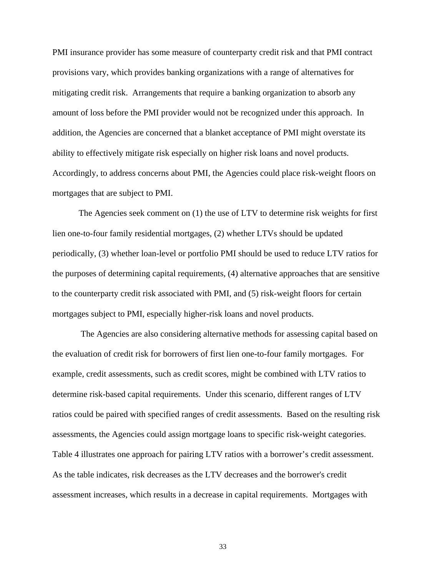PMI insurance provider has some measure of counterparty credit risk and that PMI contract provisions vary, which provides banking organizations with a range of alternatives for mitigating credit risk. Arrangements that require a banking organization to absorb any amount of loss before the PMI provider would not be recognized under this approach. In addition, the Agencies are concerned that a blanket acceptance of PMI might overstate its ability to effectively mitigate risk especially on higher risk loans and novel products. Accordingly, to address concerns about PMI, the Agencies could place risk-weight floors on mortgages that are subject to PMI.

The Agencies seek comment on (1) the use of LTV to determine risk weights for first lien one-to-four family residential mortgages, (2) whether LTVs should be updated periodically, (3) whether loan-level or portfolio PMI should be used to reduce LTV ratios for the purposes of determining capital requirements, (4) alternative approaches that are sensitive to the counterparty credit risk associated with PMI, and (5) risk-weight floors for certain mortgages subject to PMI, especially higher-risk loans and novel products.

 The Agencies are also considering alternative methods for assessing capital based on the evaluation of credit risk for borrowers of first lien one-to-four family mortgages. For example, credit assessments, such as credit scores, might be combined with LTV ratios to determine risk-based capital requirements. Under this scenario, different ranges of LTV ratios could be paired with specified ranges of credit assessments. Based on the resulting risk assessments, the Agencies could assign mortgage loans to specific risk-weight categories. Table 4 illustrates one approach for pairing LTV ratios with a borrower's credit assessment. As the table indicates, risk decreases as the LTV decreases and the borrower's credit assessment increases, which results in a decrease in capital requirements. Mortgages with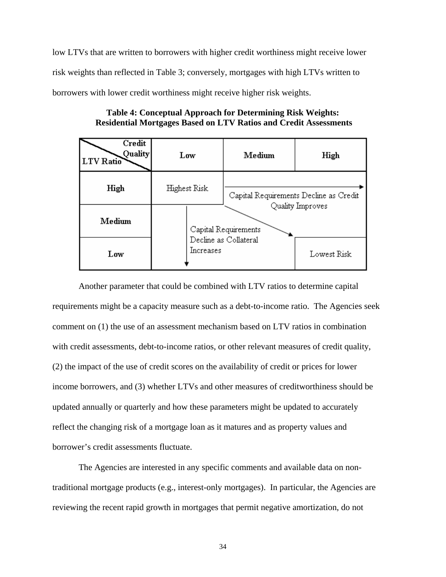low LTVs that are written to borrowers with higher credit worthiness might receive lower risk weights than reflected in Table 3; conversely, mortgages with high LTVs written to borrowers with lower credit worthiness might receive higher risk weights.

| Credit<br><b>Quality</b><br>LTV Ratio | Low                  | Medium                                 | High             |
|---------------------------------------|----------------------|----------------------------------------|------------------|
| High                                  | Highest Risk         | Capital Requirements Decline as Credit |                  |
| Medium                                | Capital Requirements |                                        | Quality Improves |
| Low                                   | Increases            | Decline as Collateral                  | Lowest Risk      |

**Table 4: Conceptual Approach for Determining Risk Weights: Residential Mortgages Based on LTV Ratios and Credit Assessments** 

Another parameter that could be combined with LTV ratios to determine capital requirements might be a capacity measure such as a debt-to-income ratio. The Agencies seek comment on (1) the use of an assessment mechanism based on LTV ratios in combination with credit assessments, debt-to-income ratios, or other relevant measures of credit quality, (2) the impact of the use of credit scores on the availability of credit or prices for lower income borrowers, and (3) whether LTVs and other measures of creditworthiness should be updated annually or quarterly and how these parameters might be updated to accurately reflect the changing risk of a mortgage loan as it matures and as property values and borrower's credit assessments fluctuate.

The Agencies are interested in any specific comments and available data on nontraditional mortgage products (e.g., interest-only mortgages). In particular, the Agencies are reviewing the recent rapid growth in mortgages that permit negative amortization, do not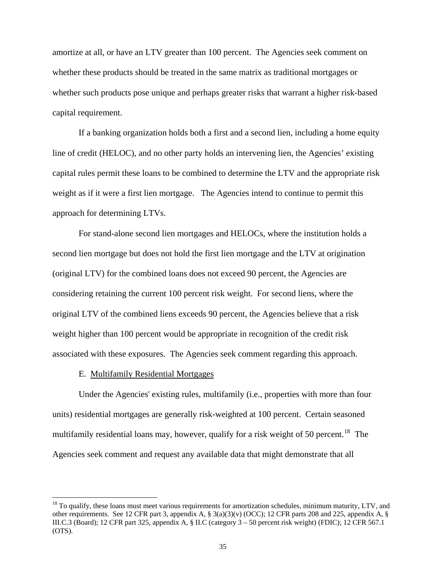amortize at all, or have an LTV greater than 100 percent. The Agencies seek comment on whether these products should be treated in the same matrix as traditional mortgages or whether such products pose unique and perhaps greater risks that warrant a higher risk-based capital requirement.

If a banking organization holds both a first and a second lien, including a home equity line of credit (HELOC), and no other party holds an intervening lien, the Agencies' existing capital rules permit these loans to be combined to determine the LTV and the appropriate risk weight as if it were a first lien mortgage. The Agencies intend to continue to permit this approach for determining LTVs.

For stand-alone second lien mortgages and HELOCs, where the institution holds a second lien mortgage but does not hold the first lien mortgage and the LTV at origination (original LTV) for the combined loans does not exceed 90 percent, the Agencies are considering retaining the current 100 percent risk weight. For second liens, where the original LTV of the combined liens exceeds 90 percent, the Agencies believe that a risk weight higher than 100 percent would be appropriate in recognition of the credit risk associated with these exposures. The Agencies seek comment regarding this approach.

### E. Multifamily Residential Mortgages

 $\overline{a}$ 

 Under the Agencies' existing rules, multifamily (i.e., properties with more than four units) residential mortgages are generally risk-weighted at 100 percent. Certain seasoned multifamily residential loans may, however, qualify for a risk weight of 50 percent.<sup>[18](#page-34-0)</sup> The Agencies seek comment and request any available data that might demonstrate that all

<span id="page-34-0"></span> $18$  To qualify, these loans must meet various requirements for amortization schedules, minimum maturity, LTV, and other requirements. See 12 CFR part 3, appendix A, § 3(a)(3)(v) (OCC); 12 CFR parts 208 and 225, appendix A, § III.C.3 (Board); 12 CFR part 325, appendix A, § II.C (category 3 – 50 percent risk weight) (FDIC); 12 CFR 567.1 (OTS).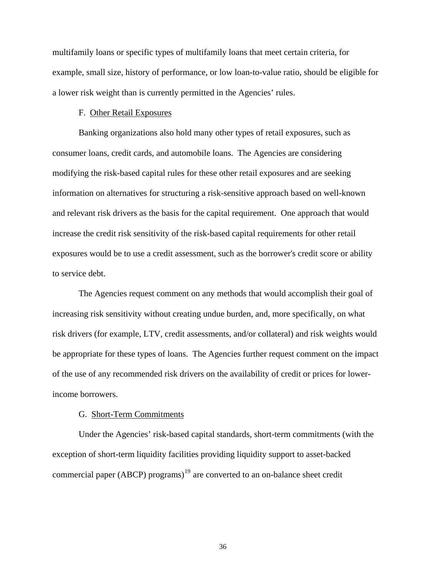multifamily loans or specific types of multifamily loans that meet certain criteria, for example, small size, history of performance, or low loan-to-value ratio, should be eligible for a lower risk weight than is currently permitted in the Agencies' rules.

## F. Other Retail Exposures

Banking organizations also hold many other types of retail exposures, such as consumer loans, credit cards, and automobile loans. The Agencies are considering modifying the risk-based capital rules for these other retail exposures and are seeking information on alternatives for structuring a risk-sensitive approach based on well-known and relevant risk drivers as the basis for the capital requirement. One approach that would increase the credit risk sensitivity of the risk-based capital requirements for other retail exposures would be to use a credit assessment, such as the borrower's credit score or ability to service debt.

The Agencies request comment on any methods that would accomplish their goal of increasing risk sensitivity without creating undue burden, and, more specifically, on what risk drivers (for example, LTV, credit assessments, and/or collateral) and risk weights would be appropriate for these types of loans. The Agencies further request comment on the impact of the use of any recommended risk drivers on the availability of credit or prices for lowerincome borrowers.

## G. Short-Term Commitments

<span id="page-35-0"></span> Under the Agencies' risk-based capital standards, short-term commitments (with the exception of short-term liquidity facilities providing liquidity support to asset-backed commercial paper (ABCP) programs)<sup>[19](#page-35-0)</sup> are converted to an on-balance sheet credit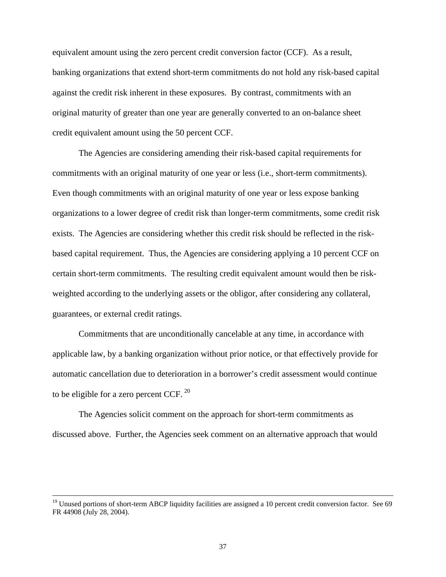equivalent amount using the zero percent credit conversion factor (CCF). As a result, banking organizations that extend short-term commitments do not hold any risk-based capital against the credit risk inherent in these exposures. By contrast, commitments with an original maturity of greater than one year are generally converted to an on-balance sheet credit equivalent amount using the 50 percent CCF.

The Agencies are considering amending their risk-based capital requirements for commitments with an original maturity of one year or less (i.e., short-term commitments). Even though commitments with an original maturity of one year or less expose banking organizations to a lower degree of credit risk than longer-term commitments, some credit risk exists. The Agencies are considering whether this credit risk should be reflected in the riskbased capital requirement. Thus, the Agencies are considering applying a 10 percent CCF on certain short-term commitments. The resulting credit equivalent amount would then be riskweighted according to the underlying assets or the obligor, after considering any collateral, guarantees, or external credit ratings.

Commitments that are unconditionally cancelable at any time, in accordance with applicable law, by a banking organization without prior notice, or that effectively provide for automatic cancellation due to deterioration in a borrower's credit assessment would continue to be eligible for a zero percent CCF.  $^{20}$  $^{20}$  $^{20}$ 

The Agencies solicit comment on the approach for short-term commitments as discussed above. Further, the Agencies seek comment on an alternative approach that would

<span id="page-36-0"></span> $19$  Unused portions of short-term ABCP liquidity facilities are assigned a 10 percent credit conversion factor. See 69 FR 44908 (July 28, 2004).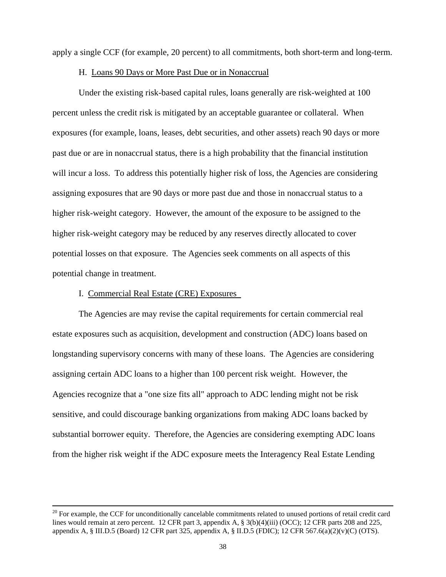apply a single CCF (for example, 20 percent) to all commitments, both short-term and long-term.

#### H. Loans 90 Days or More Past Due or in Nonaccrual

Under the existing risk-based capital rules, loans generally are risk-weighted at 100 percent unless the credit risk is mitigated by an acceptable guarantee or collateral. When exposures (for example, loans, leases, debt securities, and other assets) reach 90 days or more past due or are in nonaccrual status, there is a high probability that the financial institution will incur a loss. To address this potentially higher risk of loss, the Agencies are considering assigning exposures that are 90 days or more past due and those in nonaccrual status to a higher risk-weight category. However, the amount of the exposure to be assigned to the higher risk-weight category may be reduced by any reserves directly allocated to cover potential losses on that exposure. The Agencies seek comments on all aspects of this potential change in treatment.

## I. Commercial Real Estate (CRE) Exposures

The Agencies are may revise the capital requirements for certain commercial real estate exposures such as acquisition, development and construction (ADC) loans based on longstanding supervisory concerns with many of these loans. The Agencies are considering assigning certain ADC loans to a higher than 100 percent risk weight. However, the Agencies recognize that a "one size fits all" approach to ADC lending might not be risk sensitive, and could discourage banking organizations from making ADC loans backed by substantial borrower equity. Therefore, the Agencies are considering exempting ADC loans from the higher risk weight if the ADC exposure meets the Interagency Real Estate Lending

 $20$  For example, the CCF for unconditionally cancelable commitments related to unused portions of retail credit card lines would remain at zero percent. 12 CFR part 3, appendix A, § 3(b)(4)(iii) (OCC); 12 CFR parts 208 and 225, appendix A, § III.D.5 (Board) 12 CFR part 325, appendix A, § II.D.5 (FDIC); 12 CFR 567.6(a)(2)(v)(C) (OTS).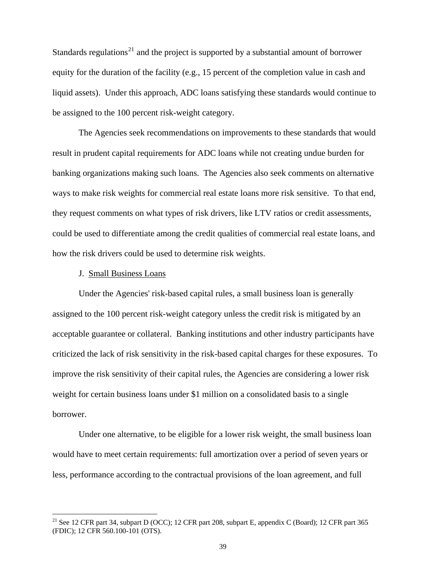Standards regulations<sup>[21](#page-38-0)</sup> and the project is supported by a substantial amount of borrower equity for the duration of the facility (e.g., 15 percent of the completion value in cash and liquid assets). Under this approach, ADC loans satisfying these standards would continue to be assigned to the 100 percent risk-weight category.

The Agencies seek recommendations on improvements to these standards that would result in prudent capital requirements for ADC loans while not creating undue burden for banking organizations making such loans. The Agencies also seek comments on alternative ways to make risk weights for commercial real estate loans more risk sensitive. To that end, they request comments on what types of risk drivers, like LTV ratios or credit assessments, could be used to differentiate among the credit qualities of commercial real estate loans, and how the risk drivers could be used to determine risk weights.

#### J. Small Business Loans

 $\overline{a}$ 

 Under the Agencies' risk-based capital rules, a small business loan is generally assigned to the 100 percent risk-weight category unless the credit risk is mitigated by an acceptable guarantee or collateral. Banking institutions and other industry participants have criticized the lack of risk sensitivity in the risk-based capital charges for these exposures. To improve the risk sensitivity of their capital rules, the Agencies are considering a lower risk weight for certain business loans under \$1 million on a consolidated basis to a single borrower.

 Under one alternative, to be eligible for a lower risk weight, the small business loan would have to meet certain requirements: full amortization over a period of seven years or less, performance according to the contractual provisions of the loan agreement, and full

<span id="page-38-0"></span><sup>&</sup>lt;sup>21</sup> See 12 CFR part 34, subpart D (OCC); 12 CFR part 208, subpart E, appendix C (Board); 12 CFR part 365 (FDIC); 12 CFR 560.100-101 (OTS).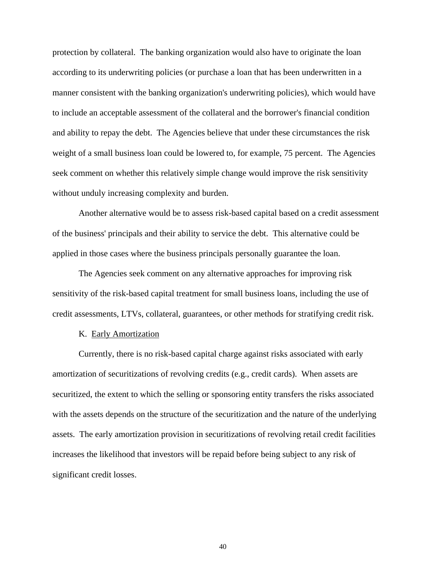protection by collateral. The banking organization would also have to originate the loan according to its underwriting policies (or purchase a loan that has been underwritten in a manner consistent with the banking organization's underwriting policies), which would have to include an acceptable assessment of the collateral and the borrower's financial condition and ability to repay the debt. The Agencies believe that under these circumstances the risk weight of a small business loan could be lowered to, for example, 75 percent. The Agencies seek comment on whether this relatively simple change would improve the risk sensitivity without unduly increasing complexity and burden.

 Another alternative would be to assess risk-based capital based on a credit assessment of the business' principals and their ability to service the debt. This alternative could be applied in those cases where the business principals personally guarantee the loan.

 The Agencies seek comment on any alternative approaches for improving risk sensitivity of the risk-based capital treatment for small business loans, including the use of credit assessments, LTVs, collateral, guarantees, or other methods for stratifying credit risk.

#### K. Early Amortization

Currently, there is no risk-based capital charge against risks associated with early amortization of securitizations of revolving credits (e.g., credit cards). When assets are securitized, the extent to which the selling or sponsoring entity transfers the risks associated with the assets depends on the structure of the securitization and the nature of the underlying assets. The early amortization provision in securitizations of revolving retail credit facilities increases the likelihood that investors will be repaid before being subject to any risk of significant credit losses.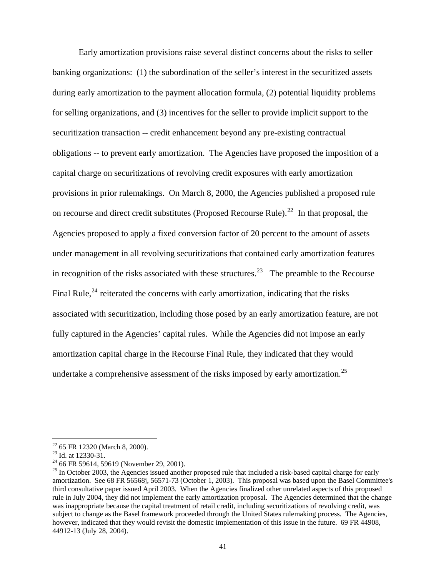Early amortization provisions raise several distinct concerns about the risks to seller banking organizations: (1) the subordination of the seller's interest in the securitized assets during early amortization to the payment allocation formula, (2) potential liquidity problems for selling organizations, and (3) incentives for the seller to provide implicit support to the securitization transaction -- credit enhancement beyond any pre-existing contractual obligations -- to prevent early amortization. The Agencies have proposed the imposition of a capital charge on securitizations of revolving credit exposures with early amortization provisions in prior rulemakings. On March 8, 2000, the Agencies published a proposed rule on recourse and direct credit substitutes (Proposed Recourse Rule).<sup>[22](#page-40-0)</sup> In that proposal, the Agencies proposed to apply a fixed conversion factor of 20 percent to the amount of assets under management in all revolving securitizations that contained early amortization features in recognition of the risks associated with these structures.<sup>[23](#page-40-1)</sup> The preamble to the Recourse Final Rule, $^{24}$  $^{24}$  $^{24}$  reiterated the concerns with early amortization, indicating that the risks associated with securitization, including those posed by an early amortization feature, are not fully captured in the Agencies' capital rules. While the Agencies did not impose an early amortization capital charge in the Recourse Final Rule, they indicated that they would undertake a comprehensive assessment of the risks imposed by early amortization.<sup>[25](#page-40-3)</sup>

<span id="page-40-0"></span><sup>22 65</sup> FR 12320 (March 8, 2000).

<span id="page-40-1"></span><sup>23</sup> Id. at 12330-31.

<span id="page-40-2"></span> $24$  66 FR 59614, 59619 (November 29, 2001).

<span id="page-40-3"></span> $^{25}$  In October 2003, the Agencies issued another proposed rule that included a risk-based capital charge for early amortization. See 68 FR 56568j, 56571-73 (October 1, 2003). This proposal was based upon the Basel Committee's third consultative paper issued April 2003. When the Agencies finalized other unrelated aspects of this proposed rule in July 2004, they did not implement the early amortization proposal. The Agencies determined that the change was inappropriate because the capital treatment of retail credit, including securitizations of revolving credit, was subject to change as the Basel framework proceeded through the United States rulemaking process. The Agencies, however, indicated that they would revisit the domestic implementation of this issue in the future. 69 FR 44908, 44912-13 (July 28, 2004).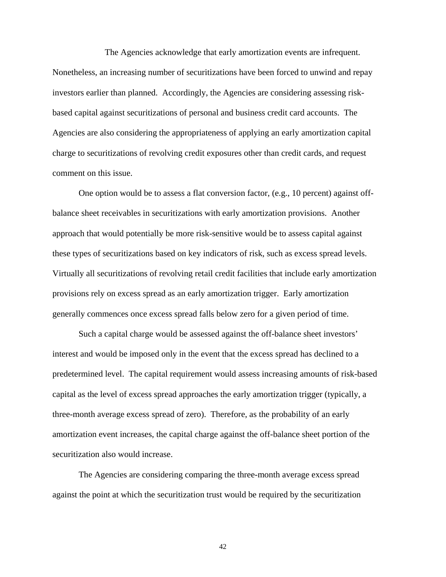The Agencies acknowledge that early amortization events are infrequent. Nonetheless, an increasing number of securitizations have been forced to unwind and repay investors earlier than planned. Accordingly, the Agencies are considering assessing riskbased capital against securitizations of personal and business credit card accounts. The Agencies are also considering the appropriateness of applying an early amortization capital charge to securitizations of revolving credit exposures other than credit cards, and request comment on this issue.

One option would be to assess a flat conversion factor, (e.g., 10 percent) against offbalance sheet receivables in securitizations with early amortization provisions. Another approach that would potentially be more risk-sensitive would be to assess capital against these types of securitizations based on key indicators of risk, such as excess spread levels. Virtually all securitizations of revolving retail credit facilities that include early amortization provisions rely on excess spread as an early amortization trigger. Early amortization generally commences once excess spread falls below zero for a given period of time.

Such a capital charge would be assessed against the off-balance sheet investors' interest and would be imposed only in the event that the excess spread has declined to a predetermined level. The capital requirement would assess increasing amounts of risk-based capital as the level of excess spread approaches the early amortization trigger (typically, a three-month average excess spread of zero). Therefore, as the probability of an early amortization event increases, the capital charge against the off-balance sheet portion of the securitization also would increase.

The Agencies are considering comparing the three-month average excess spread against the point at which the securitization trust would be required by the securitization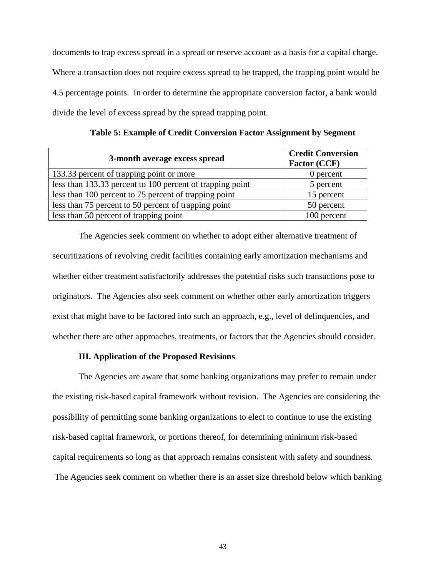documents to trap excess spread in a spread or reserve account as a basis for a capital charge. Where a transaction does not require excess spread to be trapped, the trapping point would be 4.5 percentage points. In order to determine the appropriate conversion factor, a bank would divide the level of excess spread by the spread trapping point.

| 3-month average excess spread                             | <b>Credit Conversion</b><br><b>Factor (CCF)</b> |
|-----------------------------------------------------------|-------------------------------------------------|
| 133.33 percent of trapping point or more                  | 0 percent                                       |
| less than 133.33 percent to 100 percent of trapping point | 5 percent                                       |
| less than 100 percent to 75 percent of trapping point     | 15 percent                                      |
| less than 75 percent to 50 percent of trapping point      | 50 percent                                      |
| less than 50 percent of trapping point                    | 100 percent                                     |

**Table 5: Example of Credit Conversion Factor Assignment by Segment**

The Agencies seek comment on whether to adopt either alternative treatment of securitizations of revolving credit facilities containing early amortization mechanisms and whether either treatment satisfactorily addresses the potential risks such transactions pose to originators. The Agencies also seek comment on whether other early amortization triggers exist that might have to be factored into such an approach, e.g., level of delinquencies, and whether there are other approaches, treatments, or factors that the Agencies should consider.

## **III. Application of the Proposed Revisions**

The Agencies are aware that some banking organizations may prefer to remain under the existing risk-based capital framework without revision. The Agencies are considering the possibility of permitting some banking organizations to elect to continue to use the existing risk-based capital framework, or portions thereof, for determining minimum risk-based capital requirements so long as that approach remains consistent with safety and soundness. The Agencies seek comment on whether there is an asset size threshold below which banking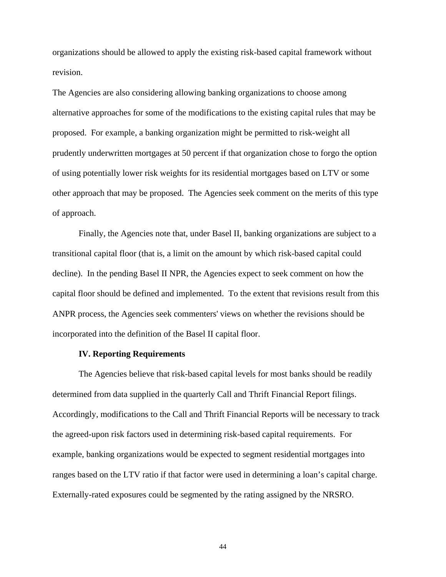organizations should be allowed to apply the existing risk-based capital framework without revision.

The Agencies are also considering allowing banking organizations to choose among alternative approaches for some of the modifications to the existing capital rules that may be proposed. For example, a banking organization might be permitted to risk-weight all prudently underwritten mortgages at 50 percent if that organization chose to forgo the option of using potentially lower risk weights for its residential mortgages based on LTV or some other approach that may be proposed. The Agencies seek comment on the merits of this type of approach.

Finally, the Agencies note that, under Basel II, banking organizations are subject to a transitional capital floor (that is, a limit on the amount by which risk-based capital could decline). In the pending Basel II NPR, the Agencies expect to seek comment on how the capital floor should be defined and implemented. To the extent that revisions result from this ANPR process, the Agencies seek commenters' views on whether the revisions should be incorporated into the definition of the Basel II capital floor.

### **IV. Reporting Requirements**

 The Agencies believe that risk-based capital levels for most banks should be readily determined from data supplied in the quarterly Call and Thrift Financial Report filings. Accordingly, modifications to the Call and Thrift Financial Reports will be necessary to track the agreed-upon risk factors used in determining risk-based capital requirements. For example, banking organizations would be expected to segment residential mortgages into ranges based on the LTV ratio if that factor were used in determining a loan's capital charge. Externally-rated exposures could be segmented by the rating assigned by the NRSRO.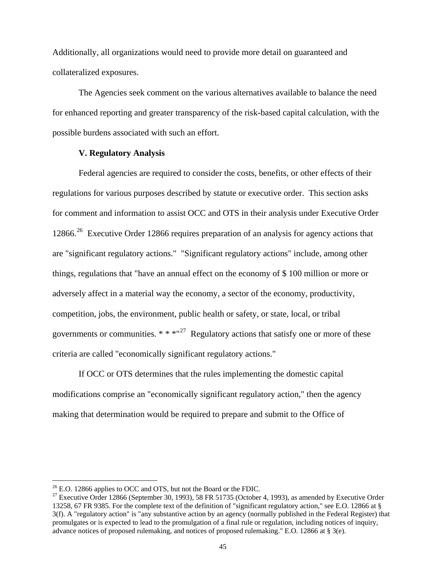Additionally, all organizations would need to provide more detail on guaranteed and collateralized exposures.

The Agencies seek comment on the various alternatives available to balance the need for enhanced reporting and greater transparency of the risk-based capital calculation, with the possible burdens associated with such an effort.

## **V. Regulatory Analysis**

Federal agencies are required to consider the costs, benefits, or other effects of their regulations for various purposes described by statute or executive order. This section asks for comment and information to assist OCC and OTS in their analysis under Executive Order 12866.<sup>[26](#page-44-0)</sup> Executive Order 12866 requires preparation of an analysis for agency actions that are "significant regulatory actions." "Significant regulatory actions" include, among other things, regulations that "have an annual effect on the economy of \$ 100 million or more or adversely affect in a material way the economy, a sector of the economy, productivity, competition, jobs, the environment, public health or safety, or state, local, or tribal governments or communities.  $* * * "^{27}$  $* * * "^{27}$  $* * * "^{27}$  Regulatory actions that satisfy one or more of these criteria are called "economically significant regulatory actions."

If OCC or OTS determines that the rules implementing the domestic capital modifications comprise an "economically significant regulatory action," then the agency making that determination would be required to prepare and submit to the Office of

<span id="page-44-0"></span> $^{26}$  E.O. 12866 applies to OCC and OTS, but not the Board or the FDIC.

<span id="page-44-1"></span><sup>&</sup>lt;sup>27</sup> Executive Order 12866 (September 30, 1993), 58 FR 51735 (October 4, 1993), as amended by Executive Order 13258, 67 FR 9385. For the complete text of the definition of "significant regulatory action," see E.O. 12866 at § 3(f). A "regulatory action" is "any substantive action by an agency (normally published in the Federal Register) that promulgates or is expected to lead to the promulgation of a final rule or regulation, including notices of inquiry, advance notices of proposed rulemaking, and notices of proposed rulemaking." E.O. 12866 at § 3(e).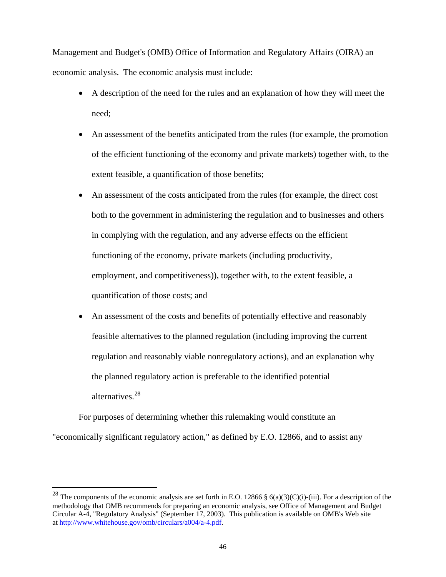Management and Budget's (OMB) Office of Information and Regulatory Affairs (OIRA) an economic analysis. The economic analysis must include:

- A description of the need for the rules and an explanation of how they will meet the need;
- An assessment of the benefits anticipated from the rules (for example, the promotion of the efficient functioning of the economy and private markets) together with, to the extent feasible, a quantification of those benefits;
- An assessment of the costs anticipated from the rules (for example, the direct cost both to the government in administering the regulation and to businesses and others in complying with the regulation, and any adverse effects on the efficient functioning of the economy, private markets (including productivity, employment, and competitiveness)), together with, to the extent feasible, a quantification of those costs; and
- An assessment of the costs and benefits of potentially effective and reasonably feasible alternatives to the planned regulation (including improving the current regulation and reasonably viable nonregulatory actions), and an explanation why the planned regulatory action is preferable to the identified potential alternatives.<sup>[28](#page-45-0)</sup>

For purposes of determining whether this rulemaking would constitute an "economically significant regulatory action," as defined by E.O. 12866, and to assist any

<span id="page-45-0"></span><sup>&</sup>lt;sup>28</sup> The components of the economic analysis are set forth in E.O. 12866 § 6(a)(3)(C)(i)-(iii). For a description of the methodology that OMB recommends for preparing an economic analysis, see Office of Management and Budget Circular A-4, "Regulatory Analysis" (September 17, 2003). This publication is available on OMB's Web site at <http://www.whitehouse.gov/omb/circulars/a004/a-4.pdf>.